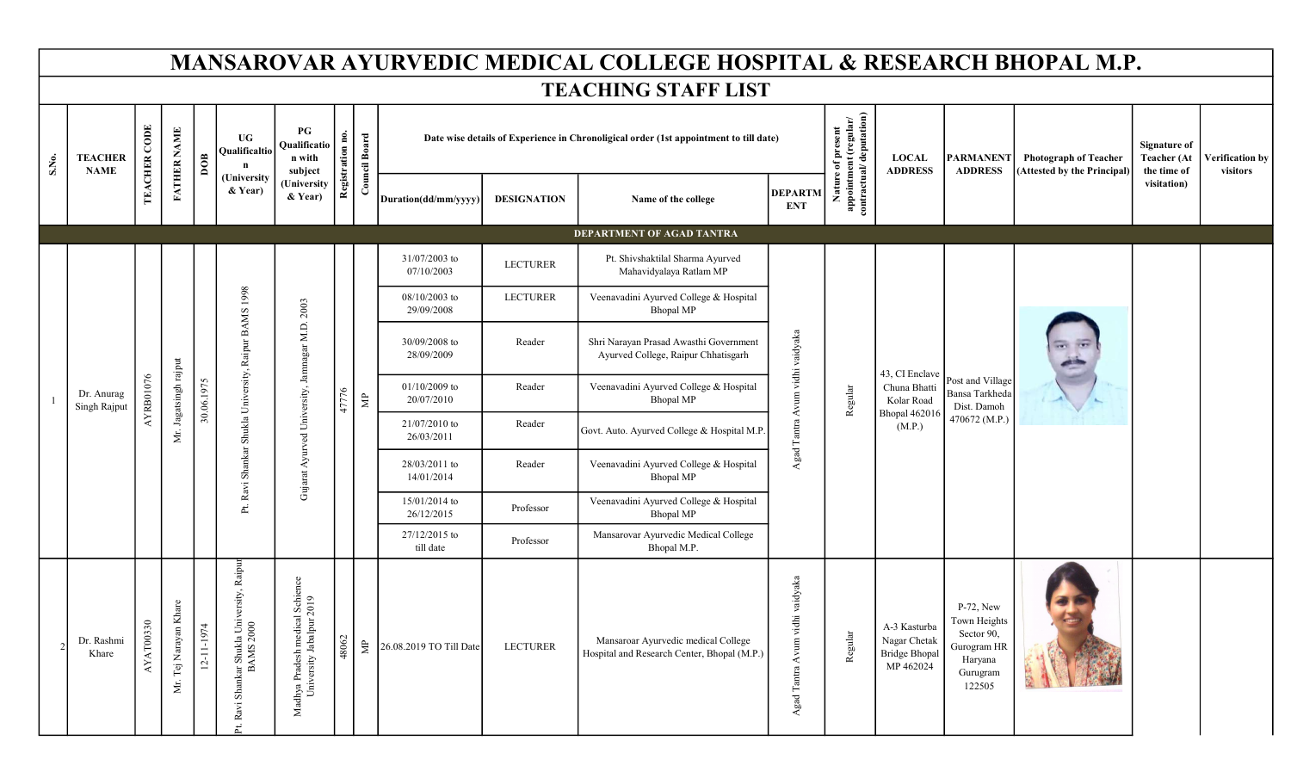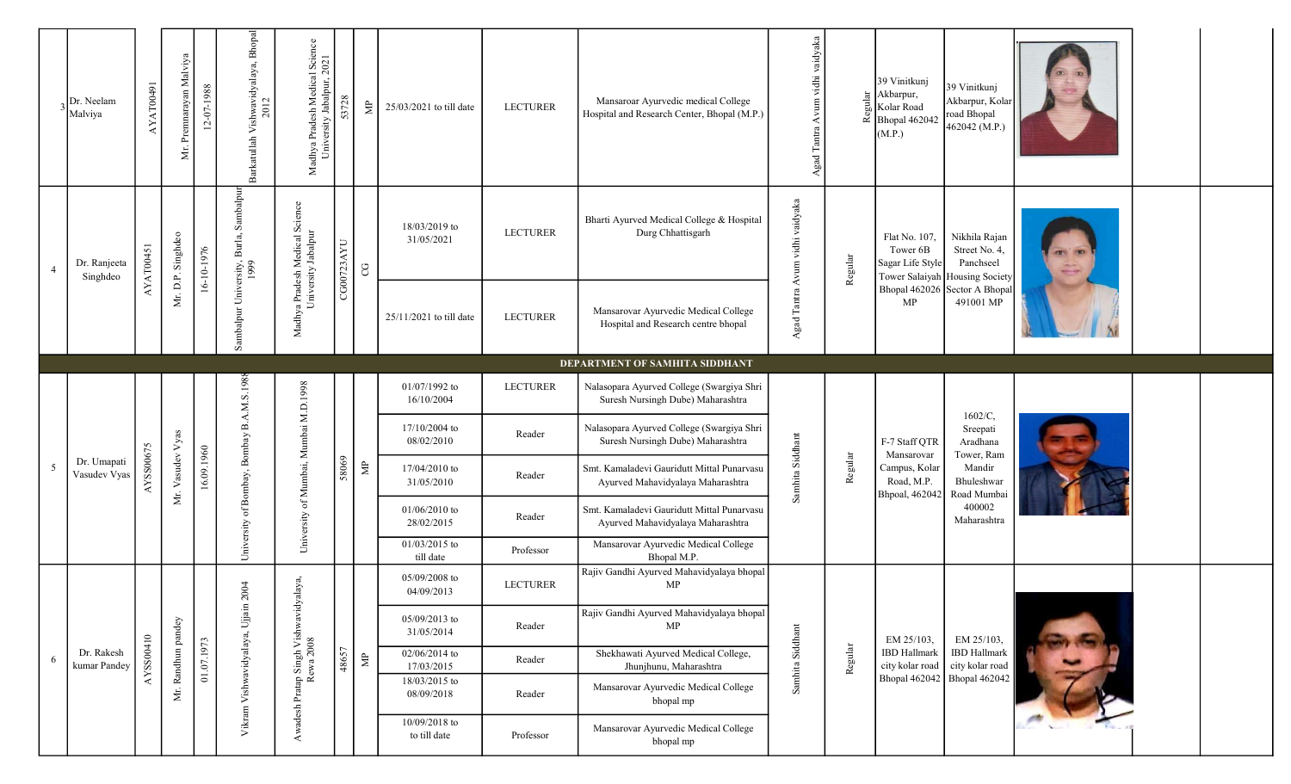|   | Dr. Neelam<br>Malviya       | AYAT00491 | Mr. Premnarayan Malviya | 12-07-1988 | Barkatullah Vishwavidyalaya, Bhopal<br>2012 | Madhya Pradesh Medical Science<br>University Jabalpur, 2021 | 53728      | $\mathbb{R}^n$     | 25/03/2021 to till date       | <b>LECTURER</b> | Mansaroar Ayurvedic medical College<br>Hospital and Research Center, Bhopal (M.P.) |                                 | Agad Tantra Avum vidhi vaidyaka | Regular | 39 Vinitkunj<br>Akbarpur,<br>Kolar Road<br>Bhopal 462042<br>(M.P.) | 39 Vinitkunj<br>Akbarpur, Kolar<br>road Bhopal<br>462042 (M.P.)               |  |  |
|---|-----------------------------|-----------|-------------------------|------------|---------------------------------------------|-------------------------------------------------------------|------------|--------------------|-------------------------------|-----------------|------------------------------------------------------------------------------------|---------------------------------|---------------------------------|---------|--------------------------------------------------------------------|-------------------------------------------------------------------------------|--|--|
|   | Dr. Ranjeeta<br>Singhdeo    | AYAT00451 | Mr. D.P. Singhdeo       | 16-10-1976 | Sambalpur                                   | Madhya Pradesh Medical Science<br>University Jabalpur       | CG00723AYU | $\rm{C}$           | 18/03/2019 to<br>31/05/2021   | <b>LECTURER</b> | Bharti Ayurved Medical College & Hospital<br>Durg Chhattisgarh                     | Agad Tantra Avum vidhi vaidyaka |                                 | Regular | Flat No. 107,<br>Tower 6B<br>Sagar Life Style                      | Nikhila Rajan<br>Street No. 4,<br>Panchseel<br>Tower Salaiyah Housing Society |  |  |
|   |                             |           |                         |            | Sambalpur University, Burla,<br>1999        |                                                             |            |                    | 25/11/2021 to till date       | <b>LECTURER</b> | Mansarovar Ayurvedic Medical College<br>Hospital and Research centre bhopal        |                                 |                                 |         | MP                                                                 | Bhopal 462026 Sector A Bhopal<br>491001 MP                                    |  |  |
|   |                             |           |                         |            |                                             |                                                             |            |                    |                               |                 | DEPARTMENT OF SAMHITA SIDDHANT                                                     |                                 |                                 |         |                                                                    |                                                                               |  |  |
|   |                             |           |                         |            | University of Bombay, Bombay B.A.M.S.1988   |                                                             |            |                    | 01/07/1992 to<br>16/10/2004   | <b>LECTURER</b> | Nalasopara Ayurved College (Swargiya Shri<br>Suresh Nursingh Dube) Maharashtra     |                                 |                                 |         |                                                                    | 1602/C,                                                                       |  |  |
|   |                             |           |                         |            |                                             |                                                             |            |                    | 17/10/2004 to<br>08/02/2010   | Reader          | Nalasopara Ayurved College (Swargiya Shri<br>Suresh Nursingh Dube) Maharashtra     |                                 |                                 |         | F-7 Staff QTR<br>Mansarovar                                        | Sreepati<br>Aradhana<br>Tower, Ram                                            |  |  |
| 5 | Dr. Umapati<br>Vasudev Vyas | AYSS00675 | Vasudev Vyas            | 16.09.1960 |                                             | University of Mumbai, Mumbai M.D.1998                       | 58069      | $\mathbf{\hat{z}}$ | 17/04/2010 to<br>31/05/2010   | Reader          | Smt. Kamaladevi Gauridutt Mittal Punarvasu<br>Ayurved Mahavidyalaya Maharashtra    | Samhita Siddhant                |                                 | Regular | Campus, Kolar<br>Road, M.P.<br>Bhpoal, 462042                      | Mandir<br>Bhuleshwar<br>Road Mumbai                                           |  |  |
|   |                             |           | Мr.                     |            |                                             |                                                             |            |                    | 01/06/2010 to<br>28/02/2015   | Reader          | Smt. Kamaladevi Gauridutt Mittal Punarvasu<br>Ayurved Mahavidyalaya Maharashtra    |                                 |                                 |         |                                                                    | 400002<br>Maharashtra                                                         |  |  |
|   |                             |           |                         |            |                                             |                                                             |            |                    | 01/03/2015 to<br>till date    | Professor       | Mansarovar Ayurvedic Medical College<br>Bhopal M.P.                                |                                 |                                 |         |                                                                    |                                                                               |  |  |
|   |                             |           |                         |            |                                             |                                                             |            |                    | 05/09/2008 to<br>04/09/2013   | <b>LECTURER</b> | Rajiv Gandhi Ayurved Mahavidyalaya bhopal<br>MP                                    |                                 |                                 |         |                                                                    |                                                                               |  |  |
|   |                             |           |                         |            |                                             |                                                             |            |                    | 05/09/2013 to<br>31/05/2014   | Reader          | Rajiv Gandhi Ayurved Mahavidyalaya bhopal<br>MP                                    |                                 |                                 |         | EM 25/103,                                                         | EM 25/103,                                                                    |  |  |
|   | Dr. Rakesh<br>kumar Pandey  | AYSS00410 |                         | 01.07.1973 |                                             |                                                             | 48657      | $\mathbb{R}$       | 02/06/2014 to<br>17/03/2015   | Reader          | Shekhawati Ayurved Medical College,<br>Jhunjhunu, Maharashtra                      |                                 |                                 | Regular | <b>IBD</b> Hallmark<br>city kolar road                             | <b>IBD</b> Hallmark<br>city kolar road                                        |  |  |
|   |                             |           | Mr. Randhun pandey      |            | Vikram Vishwavidyalaya, Ujjain 2004         | Awadesh Pratap Singh Vishwavidyalaya<br>Rewa 2008           |            |                    | 18/03/2015 to<br>08/09/2018   | Reader          | Mansarovar Ayurvedic Medical College<br>bhopal mp                                  | Samhita Siddhant                |                                 |         | <b>Bhopal 462042</b>                                               | Bhopal 462042                                                                 |  |  |
|   |                             |           |                         |            |                                             |                                                             |            |                    | 10/09/2018 to<br>to till date | Professor       | Mansarovar Ayurvedic Medical College<br>bhopal mp                                  |                                 |                                 |         |                                                                    |                                                                               |  |  |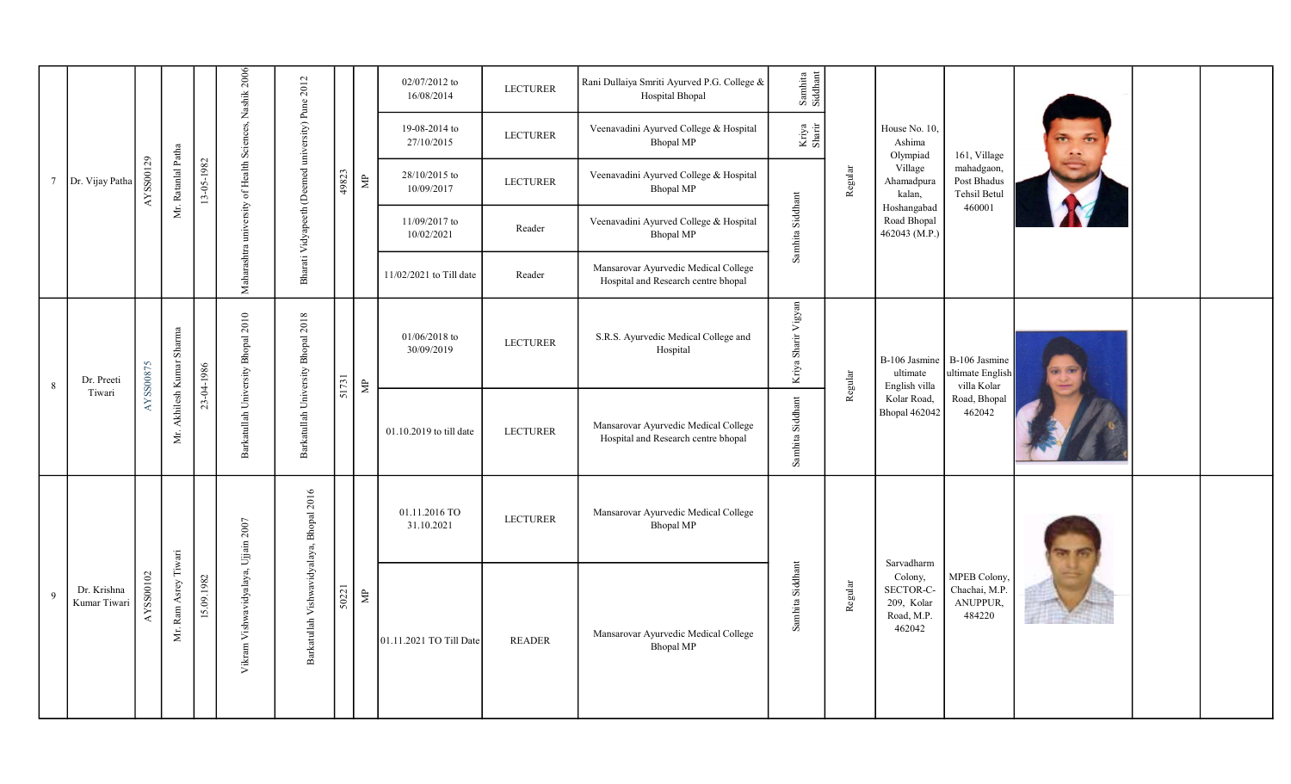|                 |                             |           |                           |            |                                                        |                                                  |       |                    | 02/07/2012 to<br>16/08/2014   | <b>LECTURER</b> | Rani Dullaiya Smriti Ayurved P.G. College &<br>Hospital Bhopal              | $\begin{array}{c} \text{Samhita}\\ \text{Siddnant} \end{array}$ |         |                                                            |                                                     |  |  |
|-----------------|-----------------------------|-----------|---------------------------|------------|--------------------------------------------------------|--------------------------------------------------|-------|--------------------|-------------------------------|-----------------|-----------------------------------------------------------------------------|-----------------------------------------------------------------|---------|------------------------------------------------------------|-----------------------------------------------------|--|--|
|                 |                             |           |                           |            | Maharashtra university of Health Sciences, Nashik 2006 | Bharati Vidyapeeth (Deemed university) Pune 2012 |       |                    | 19-08-2014 to<br>27/10/2015   | <b>LECTURER</b> | Veenavadini Ayurved College & Hospital<br>Bhopal MP                         | Kriya<br>Sharir                                                 |         | House No. 10,<br>Ashima<br>Olympiad                        | 161, Village                                        |  |  |
| $7\phantom{.0}$ | Dr. Vijay Patha             | AYSS00129 | Mr. Ratanlal Patha        | 13-05-1982 |                                                        |                                                  | 49823 | $\Xi$              | 28/10/2015 to<br>10/09/2017   | <b>LECTURER</b> | Veenavadini Ayurved College & Hospital<br><b>Bhopal MP</b>                  |                                                                 | Regular | Village<br>Ahamadpura<br>kalan,                            | mahadgaon,<br>Post Bhadus<br>Tehsil Betul           |  |  |
|                 |                             |           |                           |            |                                                        |                                                  |       |                    | 11/09/2017 to<br>10/02/2021   | Reader          | Veenavadini Ayurved College & Hospital<br><b>Bhopal MP</b>                  | Samhita Siddhant                                                |         | Hoshangabad<br>Road Bhopal<br>462043 (M.P.)                | 460001                                              |  |  |
|                 |                             |           |                           |            |                                                        |                                                  |       |                    | 11/02/2021 to Till date       | Reader          | Mansarovar Ayurvedic Medical College<br>Hospital and Research centre bhopal |                                                                 |         |                                                            |                                                     |  |  |
| 8               | Dr. Preeti                  | AYSS00875 | Mr. Akhilesh Kumar Sharma | 23-04-1986 | Barkatullah University Bhopal 2010                     | Barkatullah University Bhopal 2018               | 51731 | $\triangleq$       | $01/06/2018$ to<br>30/09/2019 | <b>LECTURER</b> | S.R.S. Ayurvedic Medical College and<br>Hospital                            | Kriya Sharir Vigyan                                             | Regular | B-106 Jasmine<br>ultimate<br>English villa                 | B-106 Jasmine<br>ultimate English<br>villa Kolar    |  |  |
|                 | Tiwari                      |           |                           |            |                                                        |                                                  |       |                    | 01.10.2019 to till date       | <b>LECTURER</b> | Mansarovar Ayurvedic Medical College<br>Hospital and Research centre bhopal | Samhita Siddhant                                                |         | Kolar Road,<br>Bhopal 462042                               | Road, Bhopal<br>462042                              |  |  |
|                 |                             |           |                           |            |                                                        |                                                  |       |                    | 01.11.2016 TO<br>31.10.2021   | <b>LECTURER</b> | Mansarovar Ayurvedic Medical College<br>Bhopal MP                           |                                                                 |         | Sarvadharm                                                 |                                                     |  |  |
| 9               | Dr. Krishna<br>Kumar Tiwari | AYSS00102 | Mr. Ram Asrey Tiwari      | 15.09.1982 | Vikram Vishwavidyalaya, Ujjain 2007                    | Barkatullah Vishwavidyalaya, Bhopal 2016         | 50221 | $\mathbf{\hat{g}}$ | 01.11.2021 TO Till Date       | <b>READER</b>   | Mansarovar Ayurvedic Medical College<br><b>Bhopal MP</b>                    | Samhita Siddhant                                                | Regular | Colony,<br>SECTOR-C-<br>209, Kolar<br>Road, M.P.<br>462042 | MPEB Colony,<br>Chachai, M.P.<br>ANUPPUR,<br>484220 |  |  |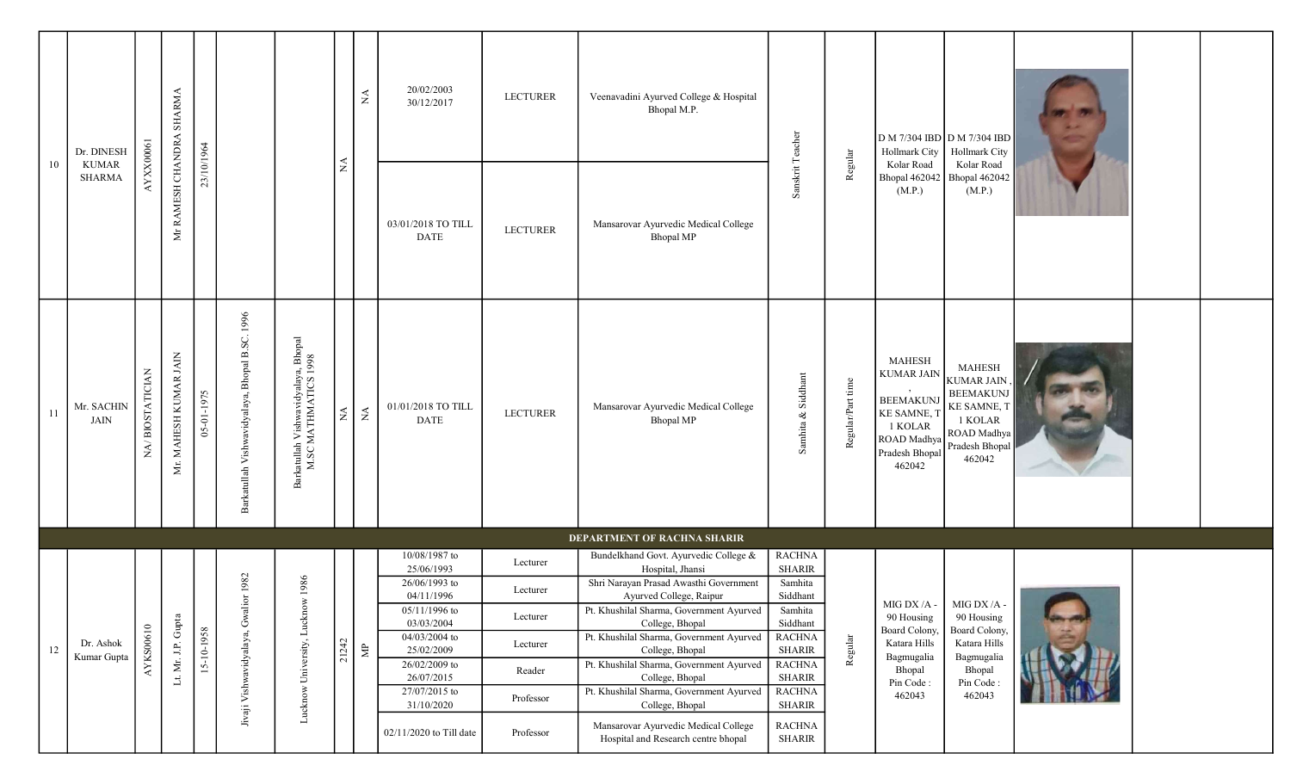|        | Dr. DINESH                    |                 |                          |            |                                                |                                                             |               | $\lesssim$           | 20/02/2003<br>30/12/2017          | <b>LECTURER</b> | Veenavadini Ayurved College & Hospital<br>Bhopal M.P.                       |                                |                   | Hollmark City                                                                                                              | D M 7/304 IBD D M 7/304 IBD<br>Hollmark City                                                                                |                 |  |
|--------|-------------------------------|-----------------|--------------------------|------------|------------------------------------------------|-------------------------------------------------------------|---------------|----------------------|-----------------------------------|-----------------|-----------------------------------------------------------------------------|--------------------------------|-------------------|----------------------------------------------------------------------------------------------------------------------------|-----------------------------------------------------------------------------------------------------------------------------|-----------------|--|
| 10     | <b>KUMAR</b><br><b>SHARMA</b> | AYXX0061        | Mr RAMESH CHANDRA SHARMA | 23/10/1964 |                                                |                                                             | $\lessapprox$ |                      | 03/01/2018 TO TILL<br><b>DATE</b> | <b>LECTURER</b> | Mansarovar Ayurvedic Medical College<br><b>Bhopal MP</b>                    | Sanskrit Teacher               | Regular           | Kolar Road<br>(M.P.)                                                                                                       | Kolar Road<br>Bhopal 462042   Bhopal 462042<br>(M.P.)                                                                       |                 |  |
| 11     | Mr. SACHIN<br><b>JAIN</b>     | NA/BIOSTATICIAN | Mr. MAHESH KUMAR JAIN    | 05-01-1975 | Barkatullah Vishwavidyalaya, Bhopal B.SC. 1996 | Barkatullah Vishwavidyalaya, Bhopal<br>M.SC MATHMATICS 1998 | $\lessgtr$    | $\tilde{\mathbf{z}}$ | 01/01/2018 TO TILL<br><b>DATE</b> | LECTURER        | Mansarovar Ayurvedic Medical College<br><b>Bhopal MP</b>                    | Samhita & Siddhant             | Regular/Part time | <b>MAHESH</b><br><b>KUMAR JAIN</b><br><b>BEEMAKUN</b><br>KE SAMNE, T<br>1 KOLAR<br>ROAD Madhya<br>Pradesh Bhopal<br>462042 | <b>MAHESH</b><br><b>KUMAR JAIN</b><br><b>BEEMAKUNJ</b><br>KE SAMNE, T<br>1 KOLAR<br>ROAD Madhya<br>Pradesh Bhopal<br>462042 |                 |  |
|        |                               |                 |                          |            |                                                |                                                             |               |                      |                                   |                 | DEPARTMENT OF RACHNA SHARIR                                                 |                                |                   |                                                                                                                            |                                                                                                                             |                 |  |
|        |                               |                 |                          |            |                                                |                                                             |               |                      | 10/08/1987 to<br>25/06/1993       | Lecturer        | Bundelkhand Govt. Ayurvedic College &<br>Hospital, Jhansi                   | <b>RACHNA</b><br><b>SHARIR</b> |                   |                                                                                                                            |                                                                                                                             |                 |  |
|        |                               |                 |                          |            | ior 1982                                       | w 1986                                                      |               |                      | 26/06/1993 to<br>04/11/1996       | Lecturer        | Shri Narayan Prasad Awasthi Government<br>Ayurved College, Raipur           | Samhita<br>Siddhant            |                   |                                                                                                                            |                                                                                                                             |                 |  |
|        |                               |                 |                          |            |                                                |                                                             |               |                      | $05/11/1996$ to<br>03/03/2004     | Lecturer        | Pt. Khushilal Sharma, Government Ayurved<br>College, Bhopal                 | Samhita<br>Siddhant            |                   | 90 Housing                                                                                                                 | MIG DX /A - $\bigcup$ MIG DX /A -<br>90 Housing                                                                             | <b>SOLUTION</b> |  |
| $12\,$ | Dr. Ashok                     | AYKS00610       |                          | 15-10-1958 |                                                |                                                             | 21242         | $\mathbb B$          | 04/03/2004 to<br>25/02/2009       | Lecturer        | Pt. Khushilal Sharma, Government Ayurved<br>College, Bhopal                 | <b>RACHNA</b><br>SHARIR        | Regular           | <b>Board Colony</b><br>Katara Hills                                                                                        | Board Colony,<br>Katara Hills                                                                                               |                 |  |
|        | Kumar Gupta                   |                 | Lt. Mr. J.P. Gupta       |            |                                                |                                                             |               |                      | 26/02/2009 to<br>26/07/2015       | Reader          | Pt. Khushilal Sharma, Government Ayurved<br>College, Bhopal                 | <b>RACHNA</b><br>SHARIR        |                   | Bagmugalia<br>Bhopal                                                                                                       | Bagmugalia<br>Bhopal                                                                                                        |                 |  |
|        |                               |                 |                          |            | Jivaji Vishwavidyalaya, Gwal                   | Lucknow University, Luckno                                  |               |                      | 27/07/2015 to<br>31/10/2020       | Professor       | Pt. Khushilal Sharma, Government Ayurved<br>College, Bhopal                 | <b>RACHNA</b><br>SHARIR        |                   | Pin Code:<br>462043                                                                                                        | Pin Code:<br>462043                                                                                                         |                 |  |
|        |                               |                 |                          |            |                                                |                                                             |               |                      | 02/11/2020 to Till date           | Professor       | Mansarovar Ayurvedic Medical College<br>Hospital and Research centre bhopal | <b>RACHNA</b><br>SHARIR        |                   |                                                                                                                            |                                                                                                                             |                 |  |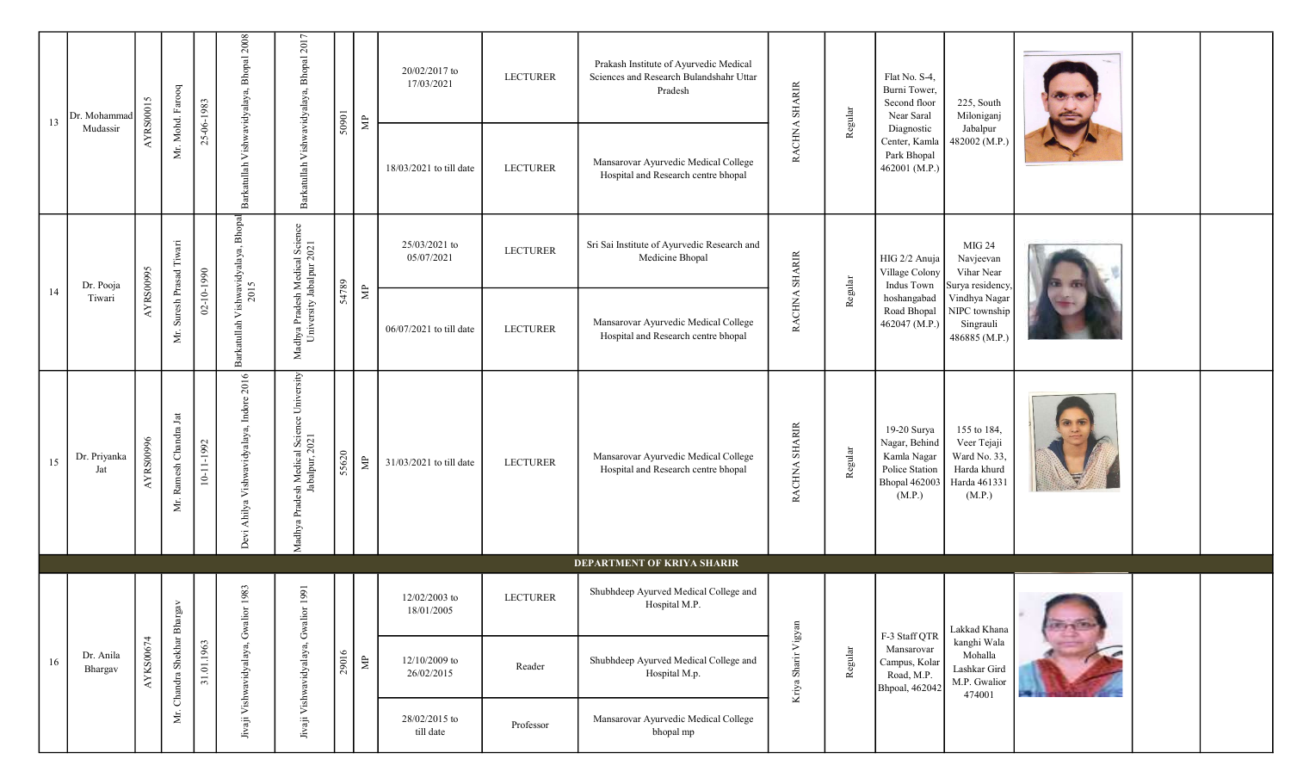| 13 | Dr. Mohammad         | <b>AYRS00015</b> | Mr. Mohd. Farooq            | 25-06-1983       | Barkatullah Vishwavidyalaya, Bhopal 2008    | Barkatullah Vishwavidyalaya, Bhopal 2017                    | 50901 | $\mathrel{\mathop{\boxtimes}\limits^{\mathbb{P}}}$ | 20/02/2017 to<br>17/03/2021 | <b>LECTURER</b> | Prakash Institute of Ayurvedic Medical<br>Sciences and Research Bulandshahr Uttar<br>Pradesh | RACHNA SHARIR       | Regular | Flat No. S-4,<br>Burni Tower,<br>Second floor<br>Near Saral                                     | 225, South<br>Miloniganj                                                            |                 |  |
|----|----------------------|------------------|-----------------------------|------------------|---------------------------------------------|-------------------------------------------------------------|-------|----------------------------------------------------|-----------------------------|-----------------|----------------------------------------------------------------------------------------------|---------------------|---------|-------------------------------------------------------------------------------------------------|-------------------------------------------------------------------------------------|-----------------|--|
|    | Mudassir             |                  |                             |                  |                                             |                                                             |       |                                                    | 18/03/2021 to till date     | <b>LECTURER</b> | Mansarovar Ayurvedic Medical College<br>Hospital and Research centre bhopal                  |                     |         | Diagnostic<br>Center, Kamla<br>Park Bhopal<br>462001 (M.P.)                                     | Jabalpur<br>482002 (M.P.)                                                           |                 |  |
| 14 | Dr. Pooja            | <b>AYRS00995</b> | Mr. Suresh Prasad Tiwari    | $02 - 10 - 1990$ | Barkatullah Vishwavidyalaya, Bhopal<br>2015 | Madhya Pradesh Medical Science<br>University Jabalpur 2021  | 54789 | $\mathbb{B}$                                       | 25/03/2021 to<br>05/07/2021 | <b>LECTURER</b> | Sri Sai Institute of Ayurvedic Research and<br>Medicine Bhopal                               | RACHNA SHARIR       | Regular | HIG 2/2 Anuja<br>Village Colony<br>Indus Town                                                   | MIG 24<br>Navjeevan<br>Vihar Near<br>Surya residency.                               |                 |  |
|    | Tiwari               |                  |                             |                  |                                             |                                                             |       |                                                    | 06/07/2021 to till date     | <b>LECTURER</b> | Mansarovar Ayurvedic Medical College<br>Hospital and Research centre bhopal                  |                     |         | hoshangabad<br>Road Bhopal<br>462047 (M.P.)                                                     | Vindhya Nagar<br>NIPC township<br>Singrauli<br>486885 (M.P.)                        |                 |  |
| 15 | Dr. Priyanka<br>Jat  | <b>AYRS00996</b> | Ramesh Chandra Jat<br>Mr.   | 10-11-1992       | Devi Ahilya Vishwavidyalaya, Indore 2016    | Madhya Pradesh Medical Science University<br>Jabalpur, 2021 | 55620 | $\Xi$                                              | 31/03/2021 to till date     | <b>LECTURER</b> | Mansarovar Ayurvedic Medical College<br>Hospital and Research centre bhopal                  | RACHNA SHARIR       | Regular | 19-20 Surya<br>Nagar, Behind<br>Kamla Nagar<br>Police Station<br><b>Bhopal 462003</b><br>(M.P.) | 155 to 184,<br>Veer Tejaji<br>Ward No. 33,<br>Harda khurd<br>Harda 461331<br>(M.P.) |                 |  |
|    |                      |                  |                             |                  |                                             |                                                             |       |                                                    |                             |                 | DEPARTMENT OF KRIYA SHARIR                                                                   |                     |         |                                                                                                 |                                                                                     |                 |  |
|    |                      |                  |                             |                  | 1983                                        | 1991                                                        |       |                                                    | 12/02/2003 to<br>18/01/2005 | <b>LECTURER</b> | Shubhdeep Ayurved Medical College and<br>Hospital M.P.                                       |                     |         | F-3 Staff QTR                                                                                   | Lakkad Khana                                                                        | <b>CELL TRA</b> |  |
| 16 | Dr. Anila<br>Bhargav | AYKS00674        | Mr. Chandra Shekhar Bhargav | 31.01.1963       | Jivaji Vishwavidyalaya, Gwalior             | Jivaji Vishwavidyalaya, Gwalior                             | 29016 | $\Xi$                                              | 12/10/2009 to<br>26/02/2015 | Reader          | Shubhdeep Ayurved Medical College and<br>Hospital M.p.                                       | Kriya Sharir Vigyan | Regular | Mansarovar<br>Campus, Kolar<br>Road, M.P.<br>Bhpoal, 462042                                     | kanghi Wala<br>Mohalla<br>Lashkar Gird<br>M.P. Gwalior<br>474001                    |                 |  |
|    |                      |                  |                             |                  |                                             |                                                             |       |                                                    | 28/02/2015 to<br>till date  | Professor       | Mansarovar Ayurvedic Medical College<br>bhopal mp                                            |                     |         |                                                                                                 |                                                                                     |                 |  |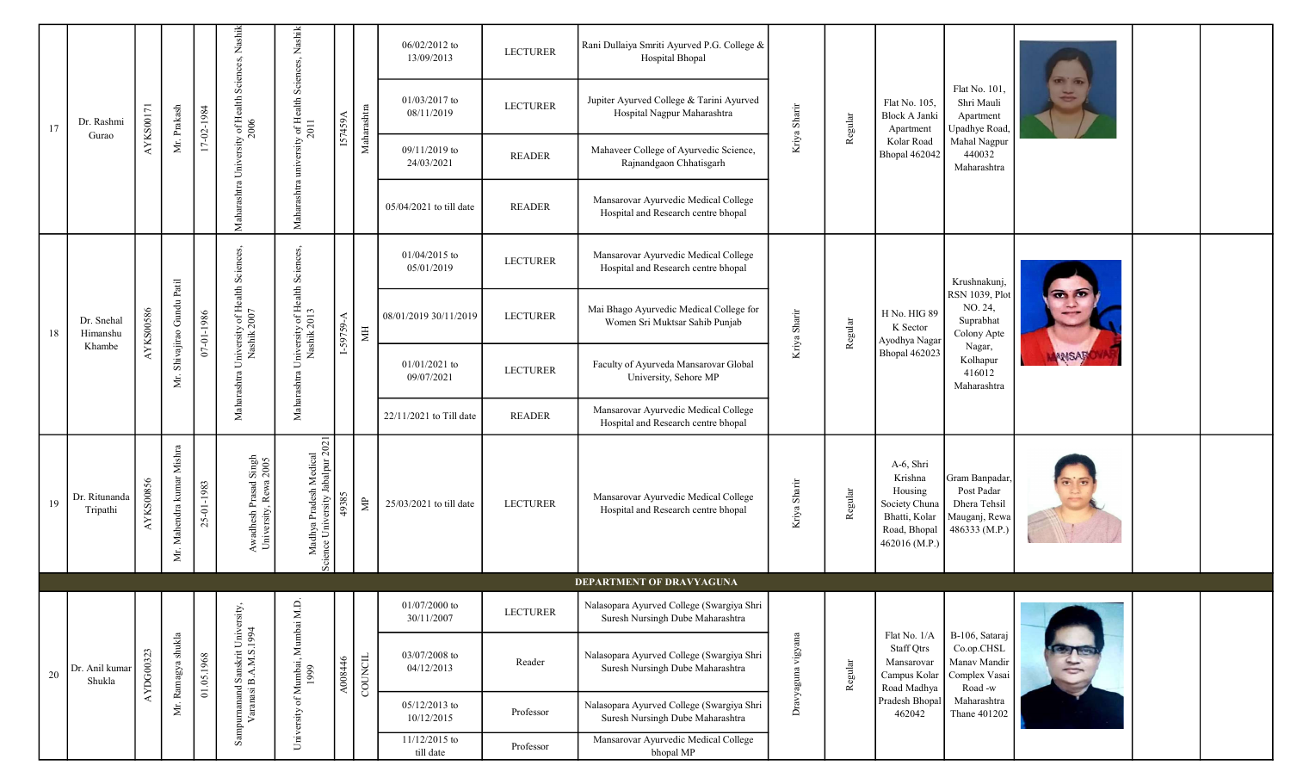|    |                           |           |                              |            |                                                                   |                                                                |             |                         | 06/02/2012 to<br>13/09/2013   | <b>LECTURER</b> | Rani Dullaiya Smriti Ayurved P.G. College &<br>Hospital Bhopal                |                    |         |                                                                                                    |                                                                               |           |  |
|----|---------------------------|-----------|------------------------------|------------|-------------------------------------------------------------------|----------------------------------------------------------------|-------------|-------------------------|-------------------------------|-----------------|-------------------------------------------------------------------------------|--------------------|---------|----------------------------------------------------------------------------------------------------|-------------------------------------------------------------------------------|-----------|--|
| 17 | Dr. Rashmi                | AYKS00171 | Mr. Prakash                  | 17-02-1984 | Maharashtra University of Health Sciences, Nashik<br>2006         | Maharashtra university of Health Sciences, Nashik<br>2011      | IS7459A     | Maharashtra             | 01/03/2017 to<br>08/11/2019   | <b>LECTURER</b> | Jupiter Ayurved College & Tarini Ayurved<br>Hospital Nagpur Maharashtra       | Kriya Sharir       | Regular | Flat No. 105,<br>Block A Janki<br>Apartment                                                        | Flat No. 101,<br>Shri Mauli<br>Apartment<br>Upadhye Road,                     | a a       |  |
|    | Gurao                     |           |                              |            |                                                                   |                                                                |             |                         | 09/11/2019 to<br>24/03/2021   | <b>READER</b>   | Mahaveer College of Ayurvedic Science,<br>Rajnandgaon Chhatisgarh             |                    |         | Kolar Road<br><b>Bhopal 462042</b>                                                                 | Mahal Nagpur<br>440032<br>Maharashtra                                         |           |  |
|    |                           |           |                              |            |                                                                   |                                                                |             |                         | $05/04/2021$ to till date     | <b>READER</b>   | Mansarovar Ayurvedic Medical College<br>Hospital and Research centre bhopal   |                    |         |                                                                                                    |                                                                               |           |  |
|    |                           |           |                              |            |                                                                   |                                                                |             |                         | $01/04/2015$ to<br>05/01/2019 | <b>LECTURER</b> | Mansarovar Ayurvedic Medical College<br>Hospital and Research centre bhopal   |                    |         |                                                                                                    | Krushnakunj,                                                                  |           |  |
| 18 | Dr. Snehal<br>Himanshu    | AYKS00586 | Mr. Shivajirao Gundu Patil   | 07-01-1986 | Maharashtra University of Health Sciences,<br>Nashik 2007         | Maharashtra University of Health Sciences,<br>Nashik 2013      | $1-59759-A$ | $\overline{\mathbb{H}}$ | 08/01/2019 30/11/2019         | <b>LECTURER</b> | Mai Bhago Ayurvedic Medical College for<br>Women Sri Muktsar Sahib Punjab     | Kriya Sharir       | Regular | H No. HIG 89<br>K Sector<br>Ayodhya Nagar                                                          | <b>RSN</b> 1039, Plot<br>NO. 24,<br>Suprabhat<br>Colony Apte                  |           |  |
|    | Khambe                    |           |                              |            |                                                                   |                                                                |             |                         | $01/01/2021$ to<br>09/07/2021 | <b>LECTURER</b> | Faculty of Ayurveda Mansarovar Global<br>University, Sehore MP                |                    |         | <b>Bhopal 462023</b>                                                                               | Nagar,<br>Kolhapur<br>416012<br>Maharashtra                                   | MISAF     |  |
|    |                           |           |                              |            |                                                                   |                                                                |             |                         | 22/11/2021 to Till date       | <b>READER</b>   | Mansarovar Ayurvedic Medical College<br>Hospital and Research centre bhopal   |                    |         |                                                                                                    |                                                                               |           |  |
| 19 | Dr. Ritunanda<br>Tripathi | AYKS00856 | Mahendra kumar Mishra<br>Mr. | 25-01-1983 | Singh<br>2005<br>Awadhesh Prasad S<br>University, Rewa $\sqrt{2}$ | Madhya Pradesh Medical<br>ence University Jabalpur 2021<br>Šēj | 49385       | $\mathrel{\uncorner}$   | 25/03/2021 to till date       | <b>LECTURER</b> | Mansarovar Ayurvedic Medical College<br>Hospital and Research centre bhopal   | Kriya Sharir       | Regular | A-6, Shri<br>Krishna<br>Housing<br>Society Chuna<br>Bhatti, Kolar<br>Road, Bhopal<br>462016 (M.P.) | Gram Banpadar<br>Post Padar<br>Dhera Tehsil<br>Mauganj, Rewa<br>486333 (M.P.) |           |  |
|    |                           |           |                              |            |                                                                   |                                                                |             |                         |                               |                 | DEPARTMENT OF DRAVYAGUNA                                                      |                    |         |                                                                                                    |                                                                               |           |  |
|    |                           |           |                              |            |                                                                   |                                                                |             |                         | $01/07/2000$ to<br>30/11/2007 | <b>LECTURER</b> | Nalasopara Ayurved College (Swargiya Shri<br>Suresh Nursingh Dube Maharashtra |                    |         |                                                                                                    |                                                                               |           |  |
| 20 | Dr. Anil kumar<br>Shukla  | AYDG00323 | Mr. Ramagya shukla           | 01.05.1968 | Sampurnanand Sanskrit University,<br>Varanasi B.A.M.S.1994        | University of Mumbai, Mumbai M.D.<br>1999                      | A008446     | $_{\rm count}$          | 03/07/2008 to<br>04/12/2013   | Reader          | Nalasopara Ayurved College (Swargiya Shri<br>Suresh Nursingh Dube Maharashtra | Dravyaguna vigyana | Regular | Flat No. 1/A<br><b>Staff Qtrs</b><br>Mansarovar<br>Campus Kolar<br>Road Madhya                     | B-106, Sataraj<br>Co.op.CHSL<br>Manav Mandir<br>Complex Vasai<br>Road -w      | $\approx$ |  |
|    |                           |           |                              |            |                                                                   |                                                                |             |                         | 05/12/2013 to<br>10/12/2015   | Professor       | Nalasopara Ayurved College (Swargiya Shri<br>Suresh Nursingh Dube Maharashtra |                    |         | Pradesh Bhopa<br>462042                                                                            | Maharashtra<br>Thane 401202                                                   |           |  |
|    |                           |           |                              |            |                                                                   |                                                                |             |                         | 11/12/2015 to<br>till date    | Professor       | Mansarovar Ayurvedic Medical College<br>bhopal MP                             |                    |         |                                                                                                    |                                                                               |           |  |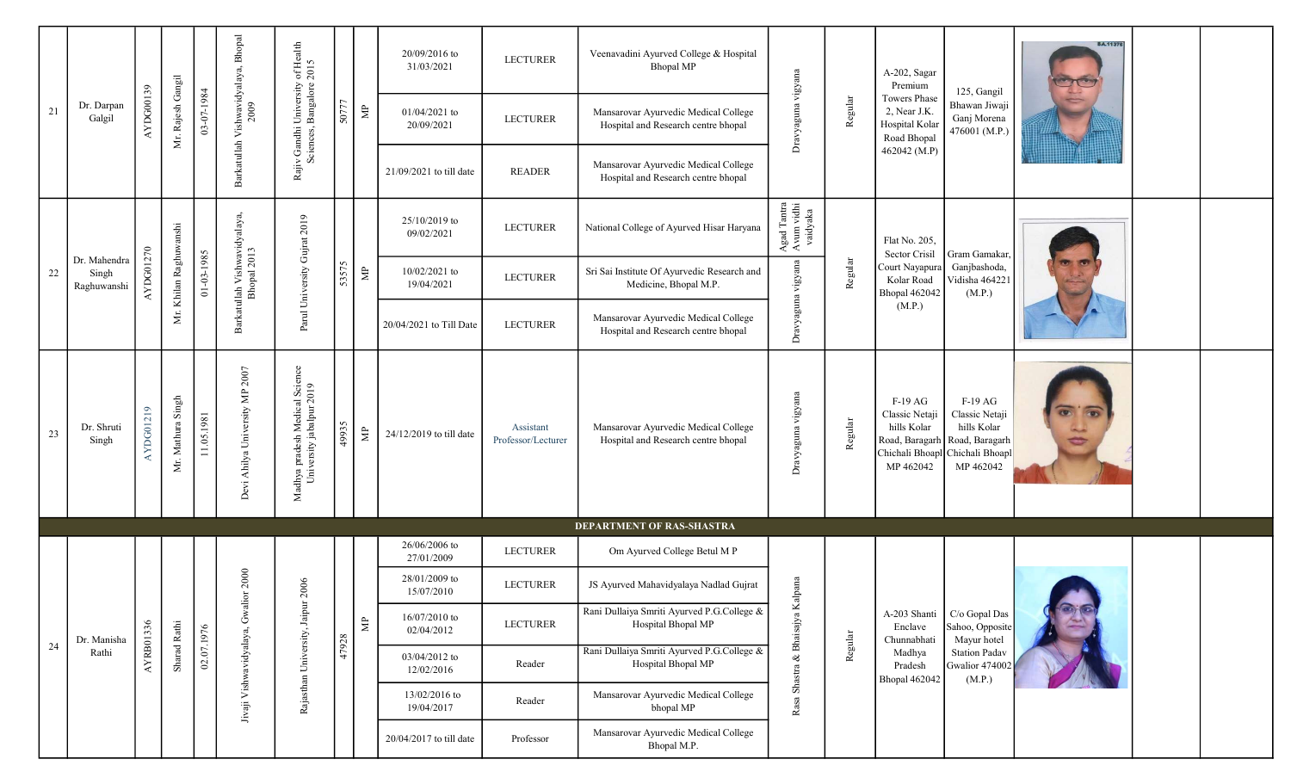|    |                                      |           |                    |                  | Barkatullah Vishwavidyalaya, Bhopal<br>2009 | Rajiv Gandhi University of Health<br>Sciences, Bangalore 2015 |       |                                                      | 20/09/2016 to<br>31/03/2021 | <b>LECTURER</b>                 | Veenavadini Ayurved College & Hospital<br><b>Bhopal MP</b>                  |                                                                                          |         | A-202, Sagar<br>Premium                                                                     | 125, Gangil                                                                                 | <b>BA.11376</b> |  |
|----|--------------------------------------|-----------|--------------------|------------------|---------------------------------------------|---------------------------------------------------------------|-------|------------------------------------------------------|-----------------------------|---------------------------------|-----------------------------------------------------------------------------|------------------------------------------------------------------------------------------|---------|---------------------------------------------------------------------------------------------|---------------------------------------------------------------------------------------------|-----------------|--|
| 21 | Dr. Darpan<br>Galgil                 | AYDG00139 | Mr. Rajesh Gangil  | 03-07-1984       |                                             |                                                               | 50777 | $\Xi$                                                | 01/04/2021 to<br>20/09/2021 | <b>LECTURER</b>                 | Mansarovar Ayurvedic Medical College<br>Hospital and Research centre bhopal | Dravyaguna vigyana                                                                       | Regular | <b>Towers Phase</b><br>2, Near J.K.<br>Hospital Kolar<br>Road Bhopal                        | Bhawan Jiwaji<br>Ganj Morena<br>476001 (M.P.)                                               |                 |  |
|    |                                      |           |                    |                  |                                             |                                                               |       |                                                      | $21/09/2021$ to till date   | <b>READER</b>                   | Mansarovar Ayurvedic Medical College<br>Hospital and Research centre bhopal |                                                                                          |         | 462042 (M.P)                                                                                |                                                                                             |                 |  |
|    |                                      |           |                    |                  | Barkatullah Vishwavidyalaya,<br>Bhopal 2013 |                                                               |       |                                                      | 25/10/2019 to<br>09/02/2021 | <b>LECTURER</b>                 | National College of Ayurved Hisar Haryana                                   | $\begin{array}{c} \text{Agad Tanta} \\ \text{A vum vidhi} \\ \text{vadyaka} \end{array}$ |         | Flat No. 205,<br>Sector Crisil                                                              | Gram Gamakar,                                                                               |                 |  |
| 22 | Dr. Mahendra<br>Singh<br>Raghuwanshi | AYDG01270 | Khilan Raghuwanshi | $01 - 03 - 1985$ |                                             | Parul University Gujrat 2019                                  | 53575 | $\Xi$                                                | 10/02/2021 to<br>19/04/2021 | <b>LECTURER</b>                 | Sri Sai Institute Of Ayurvedic Research and<br>Medicine, Bhopal M.P.        |                                                                                          | Regular | Court Nayapura<br>Kolar Road<br><b>Bhopal 462042</b>                                        | Ganjbashoda,<br>Vidisha 464221<br>(M.P.)                                                    |                 |  |
|    |                                      |           | $\,\,\rm{M}$       |                  |                                             |                                                               |       |                                                      | 20/04/2021 to Till Date     | <b>LECTURER</b>                 | Mansarovar Ayurvedic Medical College<br>Hospital and Research centre bhopal | Dravyaguna vigyana                                                                       |         | (M.P.)                                                                                      |                                                                                             |                 |  |
| 23 | Dr. Shruti<br>Singh                  | AYDG01219 | Mr. Mathura Singh  | 11.05.1981       | Devi Ahilya University MP 2007              | Madhya pradesh Medical Science<br>University jabalpur 2019    | 49935 | $\mathbf{\hat{z}}$                                   | 24/12/2019 to till date     | Assistant<br>Professor/Lecturer | Mansarovar Ayurvedic Medical College<br>Hospital and Research centre bhopal | Dravyaguna vigyana                                                                       | Regular | $F-19AG$<br>Classic Netaji<br>hills Kolar<br>Road, Baragarh<br>Chichali Bhoapl<br>MP 462042 | $F-19AG$<br>Classic Netaji<br>hills Kolar<br>Road, Baragarh<br>Chichali Bhoapl<br>MP 462042 | Ø               |  |
|    |                                      |           |                    |                  |                                             |                                                               |       |                                                      |                             |                                 | DEPARTMENT OF RAS-SHASTRA                                                   |                                                                                          |         |                                                                                             |                                                                                             |                 |  |
|    |                                      |           |                    |                  |                                             |                                                               |       |                                                      | 26/06/2006 to<br>27/01/2009 | <b>LECTURER</b>                 | Om Ayurved College Betul M P                                                |                                                                                          |         |                                                                                             |                                                                                             |                 |  |
|    |                                      |           |                    |                  | 2000<br>$\approx$                           | 2006                                                          |       |                                                      | 28/01/2009 to<br>15/07/2010 | <b>LECTURER</b>                 | JS Ayurved Mahavidyalaya Nadlad Gujrat                                      | lpana                                                                                    |         |                                                                                             |                                                                                             |                 |  |
|    | Dr. Manisha                          |           |                    |                  |                                             |                                                               |       | $\mathrel{\mathop{\boxtimes}\!\!\!\!\!\!\!\!\equiv}$ | 16/07/2010 to<br>02/04/2012 | <b>LECTURER</b>                 | Rani Dullaiya Smriti Ayurved P.G.College &<br>Hospital Bhopal MP            | $\&$ Bhaisajya Ka                                                                        |         | A-203 Shanti<br>Enclave<br>Chunnabhati                                                      | C/o Gopal Das<br>Sahoo, Opposite<br>Mayur hotel                                             |                 |  |
| 24 | Rathi                                | AYRB01336 | Sharad Rathi       | 02.07.1976       |                                             | Rajasthan University, Jaipur                                  | 47928 |                                                      | 03/04/2012 to<br>12/02/2016 | Reader                          | Rani Dullaiya Smriti Ayurved P.G.College &<br>Hospital Bhopal MP            |                                                                                          | Regular | Madhya<br>Pradesh<br><b>Bhopal 462042</b>                                                   | <b>Station Padav</b><br>Gwalior 474002<br>(M.P.)                                            |                 |  |
|    |                                      |           |                    |                  | Jivaji Vishwavidyalaya, Gwali               |                                                               |       |                                                      | 13/02/2016 to<br>19/04/2017 | Reader                          | Mansarovar Ayurvedic Medical College<br>bhopal MP                           | Rasa Shastra                                                                             |         |                                                                                             |                                                                                             |                 |  |
|    |                                      |           |                    |                  |                                             |                                                               |       |                                                      | 20/04/2017 to till date     | Professor                       | Mansarovar Ayurvedic Medical College<br>Bhopal M.P.                         |                                                                                          |         |                                                                                             |                                                                                             |                 |  |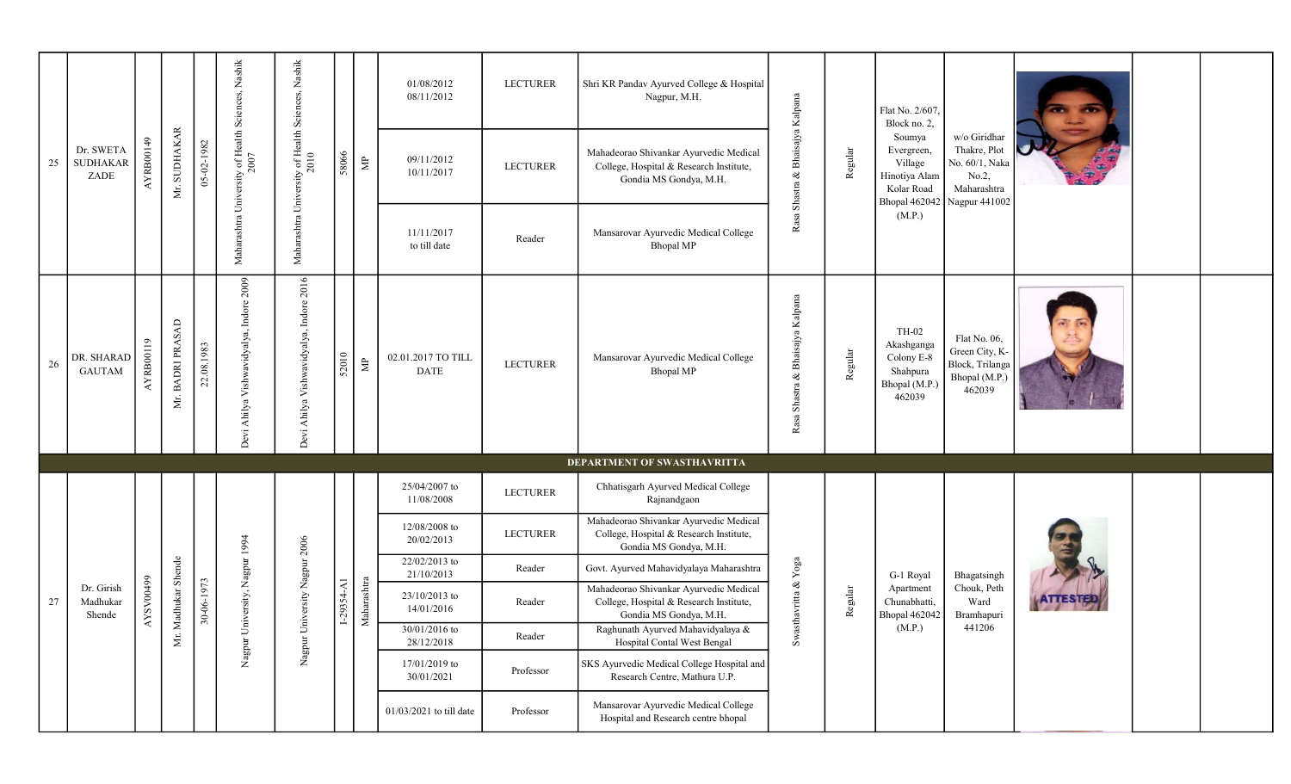|    |                                      |           |                  |            |                                                           | $_{\rm Nashik}$                            |                |                    | 01/08/2012<br>08/11/2012          | <b>LECTURER</b> | Shri KR Pandav Ayurved College & Hospital<br>Nagpur, M.H.                                                   |                                     |         | Flat No. 2/607,<br>Block no. 2,                                          |                                                                                                       |  |  |
|----|--------------------------------------|-----------|------------------|------------|-----------------------------------------------------------|--------------------------------------------|----------------|--------------------|-----------------------------------|-----------------|-------------------------------------------------------------------------------------------------------------|-------------------------------------|---------|--------------------------------------------------------------------------|-------------------------------------------------------------------------------------------------------|--|--|
| 25 | Dr. SWETA<br><b>SUDHAKAR</b><br>ZADE | AYRB00149 | Mr. SUDHAKAR     | 05-02-1982 | Maharashtra University of Health Sciences, Nashik<br>2007 | Maharashtra University of Health Sciences, | 58066          | $\Xi$              | 09/11/2012<br>10/11/2017          | <b>LECTURER</b> | Mahadeorao Shivankar Ayurvedic Medical<br>College, Hospital & Research Institute,<br>Gondia MS Gondya, M.H. | $\&$ Bhaisajya Kalpana<br>Shastra   | Regular | Soumya<br>Evergreen,<br>Village<br>Hinotiya Alam<br>Kolar Road           | w/o Giridhar<br>Thakre, Plot<br>No. 60/1, Naka<br>No.2,<br>Maharashtra<br>Bhopal 462042 Nagpur 441002 |  |  |
|    |                                      |           |                  |            |                                                           |                                            |                |                    | 11/11/2017<br>to till date        | Reader          | Mansarovar Ayurvedic Medical College<br><b>Bhopal MP</b>                                                    | Rasa                                |         | (M.P.)                                                                   |                                                                                                       |  |  |
| 26 | DR. SHARAD<br><b>GAUTAM</b>          | AYRB00119 | Mr. BADRI PRASAD | 22.08.1983 | Devi Ahilya Vishwavidyalya, Indore 2009                   | Devi Ahilya Vishwavidyalya, Indore 2016    | 52010          | $\mathbf{\hat{z}}$ | 02.01.2017 TO TILL<br><b>DATE</b> | <b>LECTURER</b> | Mansarovar Ayurvedic Medical College<br><b>Bhopal MP</b>                                                    | & Bhaisajya Kalpana<br>Rasa Shastra | Regular | TH-02<br>Akashganga<br>Colony E-8<br>Shahpura<br>Bhopal (M.P.)<br>462039 | Flat No. 06,<br>Green City, K-<br>Block, Trilanga<br>Bhopal (M.P.)<br>462039                          |  |  |
|    |                                      |           |                  |            |                                                           |                                            |                |                    | 25/04/2007 to                     |                 | DEPARTMENT OF SWASTHAVRITTA<br>Chhatisgarh Ayurved Medical College                                          |                                     |         |                                                                          |                                                                                                       |  |  |
|    |                                      |           |                  |            |                                                           |                                            |                |                    | 11/08/2008                        | <b>LECTURER</b> | Rajnandgaon                                                                                                 |                                     |         |                                                                          |                                                                                                       |  |  |
|    |                                      |           |                  |            |                                                           |                                            |                |                    | 12/08/2008 to<br>20/02/2013       | <b>LECTURER</b> | Mahadeorao Shivankar Ayurvedic Medical<br>College, Hospital & Research Institute,<br>Gondia MS Gondya, M.H. |                                     |         |                                                                          |                                                                                                       |  |  |
|    |                                      |           |                  |            |                                                           |                                            |                |                    | 22/02/2013 to<br>21/10/2013       | Reader          | Govt. Ayurved Mahavidyalaya Maharashtra                                                                     | ${\bf Y}$ oga                       |         | G-1 Royal                                                                | Bhagatsingh                                                                                           |  |  |
| 27 | Dr. Girish<br>Madhukar<br>Shende     | AYSV00499 | Madhukar Shende  | 30-06-1973 | Nagpur University, Nagpur 1994                            | Nagpur University Nagpur 2006              | $1-29354 - A1$ | Maharashtra        | 23/10/2013 to<br>14/01/2016       | Reader          | Mahadeorao Shivankar Ayurvedic Medical<br>College, Hospital & Research Institute,<br>Gondia MS Gondya, M.H. | thavritta $\&$                      | Regular | Apartment<br>Chunabhatti,<br><b>Bhopal 462042</b>                        | Chouk, Peth<br>Ward<br>Bramhapuri                                                                     |  |  |
|    |                                      |           | Δŕ.              |            |                                                           |                                            |                |                    | $30/01/2016$ to<br>28/12/2018     | Reader          | Raghunath Ayurved Mahavidyalaya &<br>Hospital Contal West Bengal                                            | Swas                                |         | (M.P.)                                                                   | 441206                                                                                                |  |  |
|    |                                      |           |                  |            |                                                           |                                            |                |                    | 17/01/2019 to<br>30/01/2021       | Professor       | SKS Ayurvedic Medical College Hospital and<br>Research Centre, Mathura U.P.                                 |                                     |         |                                                                          |                                                                                                       |  |  |
|    |                                      |           |                  |            |                                                           |                                            |                |                    | 01/03/2021 to till date           | Professor       | Mansarovar Ayurvedic Medical College<br>Hospital and Research centre bhopal                                 |                                     |         |                                                                          |                                                                                                       |  |  |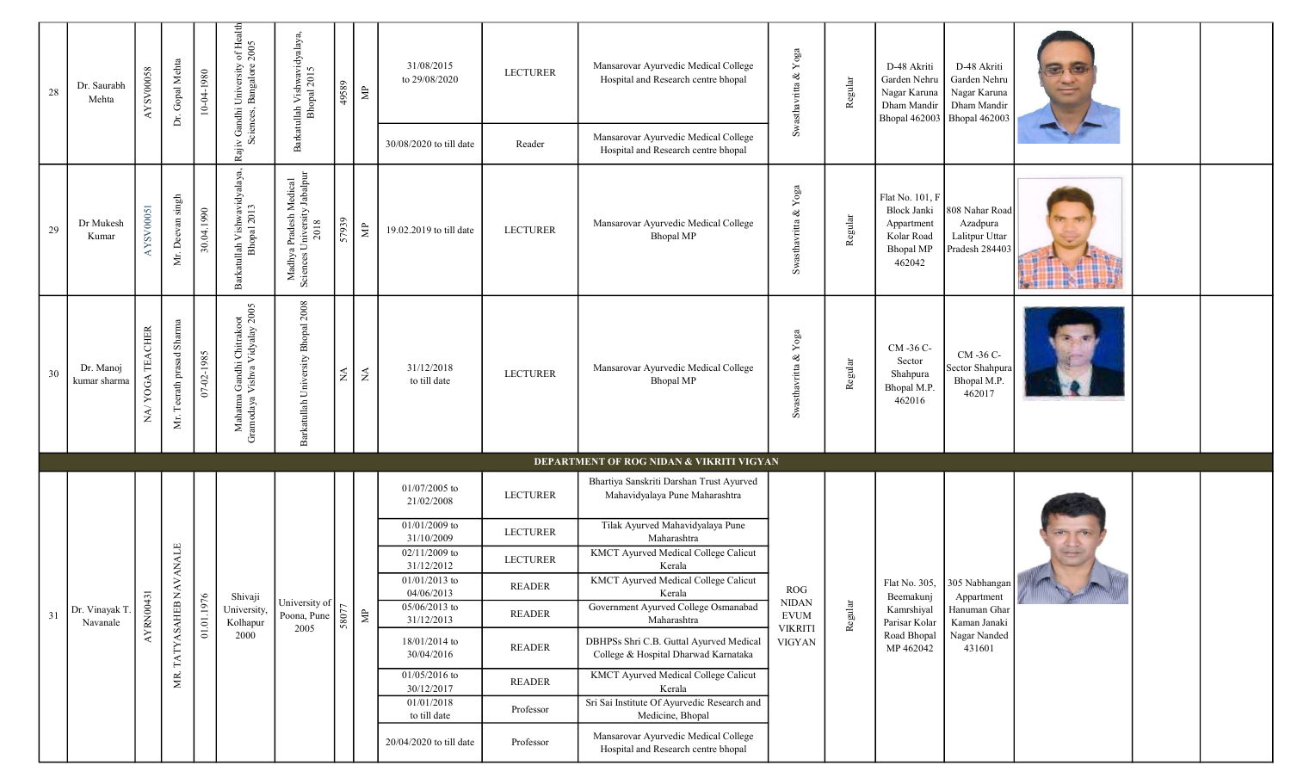| 28 | Dr. Saurabh<br>Mehta       | AYSV00058                    | Dr. Gopal Mehta           | 10-04-1980 | Rajiv Gandhi University of Health<br>Sciences, Bangalore 2005 | Barkatullah Vishwavidyalaya,<br>Bhopal 2015                    | 49589      | $\Xi$                | 31/08/2015<br>to 29/08/2020<br>30/08/2020 to till date | <b>LECTURER</b><br>Reader | Mansarovar Ayurvedic Medical College<br>Hospital and Research centre bhopal<br>Mansarovar Ayurvedic Medical College | Swasthavritta & $Yoga$          | Regular | D-48 Akriti<br>Garden Nehru<br>Nagar Karuna<br>Dham Mandir<br><b>Bhopal 462003</b>              | D-48 Akriti<br>Garden Nehru<br>Nagar Karuna<br>Dham Mandir<br><b>Bhopal 462003</b> |                                                                                                                                                                                                                                      |  |
|----|----------------------------|------------------------------|---------------------------|------------|---------------------------------------------------------------|----------------------------------------------------------------|------------|----------------------|--------------------------------------------------------|---------------------------|---------------------------------------------------------------------------------------------------------------------|---------------------------------|---------|-------------------------------------------------------------------------------------------------|------------------------------------------------------------------------------------|--------------------------------------------------------------------------------------------------------------------------------------------------------------------------------------------------------------------------------------|--|
| 29 | Dr Mukesh<br>Kumar         | AYSV00051                    | Mr. Deevan singh          | 30.04.1990 | Barkatullah Vishwavidyalaya,<br>Bhopal 2013                   | Madhya Pradesh Medical<br>Sciences University Jabalpur<br>2018 | 57939      | $\Xi$                | 19.02.2019 to till date                                | <b>LECTURER</b>           | Hospital and Research centre bhopal<br>Mansarovar Ayurvedic Medical College<br><b>Bhopal MP</b>                     | Swasthavritta & $Yoga$          | Regular | Flat No. 101, F<br><b>Block Janki</b><br>Appartment<br>Kolar Road<br><b>Bhopal MP</b><br>462042 | 808 Nahar Road<br>Azadpura<br>Lalitpur Uttar<br>Pradesh 284403                     |                                                                                                                                                                                                                                      |  |
| 30 | Dr. Manoj<br>kumar sharma  | YOGA TEACHER<br>$\mathbf{N}$ | Mr. Teerath prasad Sharma | 07-02-1985 | Mahatma Gandhi Chitrakoot<br>Gramodaya Vishva Vidyalay 2005   | Barkatullah University Bhopal 2008                             | $\lessgtr$ | $\lesssim$           | 31/12/2018<br>to till date                             | <b>LECTURER</b>           | Mansarovar Ayurvedic Medical College<br><b>Bhopal MP</b>                                                            | Swasthavritta & Yoga            | Regular | CM -36 C-<br>Sector<br>Shahpura<br>Bhopal M.P.<br>462016                                        | CM -36 C-<br>Sector Shahpura<br>Bhopal M.P.<br>462017                              |                                                                                                                                                                                                                                      |  |
|    |                            |                              |                           |            |                                                               |                                                                |            |                      |                                                        |                           | DEPARTMENT OF ROG NIDAN & VIKRITI VIGYAN                                                                            |                                 |         |                                                                                                 |                                                                                    |                                                                                                                                                                                                                                      |  |
|    |                            |                              |                           |            |                                                               |                                                                |            |                      | 01/07/2005 to<br>21/02/2008                            | <b>LECTURER</b>           | Bhartiya Sanskriti Darshan Trust Ayurved<br>Mahavidyalaya Pune Maharashtra                                          |                                 |         |                                                                                                 |                                                                                    |                                                                                                                                                                                                                                      |  |
|    |                            |                              |                           |            |                                                               |                                                                |            |                      | 01/01/2009 to                                          | <b>LECTURER</b>           | Tilak Ayurved Mahavidyalaya Pune                                                                                    |                                 |         |                                                                                                 |                                                                                    |                                                                                                                                                                                                                                      |  |
|    |                            |                              |                           |            |                                                               |                                                                |            |                      | 31/10/2009<br>02/11/2009 to<br>31/12/2012              | <b>LECTURER</b>           | Maharashtra<br>KMCT Ayurved Medical College Calicut<br>Kerala                                                       |                                 |         |                                                                                                 |                                                                                    |                                                                                                                                                                                                                                      |  |
|    |                            |                              |                           |            |                                                               |                                                                |            |                      | $01/01/2013$ to<br>04/06/2013                          | <b>READER</b>             | <b>KMCT Ayurved Medical College Calicut</b><br>Kerala                                                               | <b>ROG</b>                      |         |                                                                                                 | Flat No. 305, $ 305 \text{ Nabhangan} $                                            |                                                                                                                                                                                                                                      |  |
| 31 | Dr. Vinayak T.<br>Navanale | AYRN00431                    |                           | 01.01.1976 | Shivaji<br>University,<br>Kolhapur                            | University of<br>Poona, Pune                                   | 58077      | $\mathop{\boxtimes}$ | $05/06/2013$ to<br>31/12/2013                          | READER                    | Government Ayurved College Osmanabad<br>Maharashtra                                                                 | $\rm NIDAN$<br>${\rm EVUM}$     | Regular | Beemakunj<br>Kamrshiyal<br>Parisar Kolar                                                        | Appartment<br>Hanuman Ghar<br>Kaman Janaki                                         | <u> The Common State of the Common State of the Common State of the Common State of the Common State of the Common State of the Common State of the Common State of the Common State of the Common State of the Common State of </u> |  |
|    |                            |                              | TATYASAHEB NAVANALE       |            | 2000                                                          | 2005                                                           |            |                      | 18/01/2014 to<br>30/04/2016                            | READER                    | DBHPSs Shri C.B. Guttal Ayurved Medical<br>College & Hospital Dharwad Karnataka                                     | <b>VIKRITI</b><br><b>VIGYAN</b> |         | Road Bhopal<br>MP 462042                                                                        | Nagar Nanded<br>431601                                                             |                                                                                                                                                                                                                                      |  |
|    |                            |                              | МR.                       |            |                                                               |                                                                |            |                      | $01/05/2016$ to<br>30/12/2017                          | READER                    | <b>KMCT Ayurved Medical College Calicut</b><br>Kerala                                                               |                                 |         |                                                                                                 |                                                                                    |                                                                                                                                                                                                                                      |  |
|    |                            |                              |                           |            |                                                               |                                                                |            |                      | 01/01/2018<br>to till date                             | Professor                 | Sri Sai Institute Of Ayurvedic Research and<br>Medicine, Bhopal                                                     |                                 |         |                                                                                                 |                                                                                    |                                                                                                                                                                                                                                      |  |
|    |                            |                              |                           |            |                                                               |                                                                |            |                      | 20/04/2020 to till date                                | Professor                 | Mansarovar Ayurvedic Medical College<br>Hospital and Research centre bhopal                                         |                                 |         |                                                                                                 |                                                                                    |                                                                                                                                                                                                                                      |  |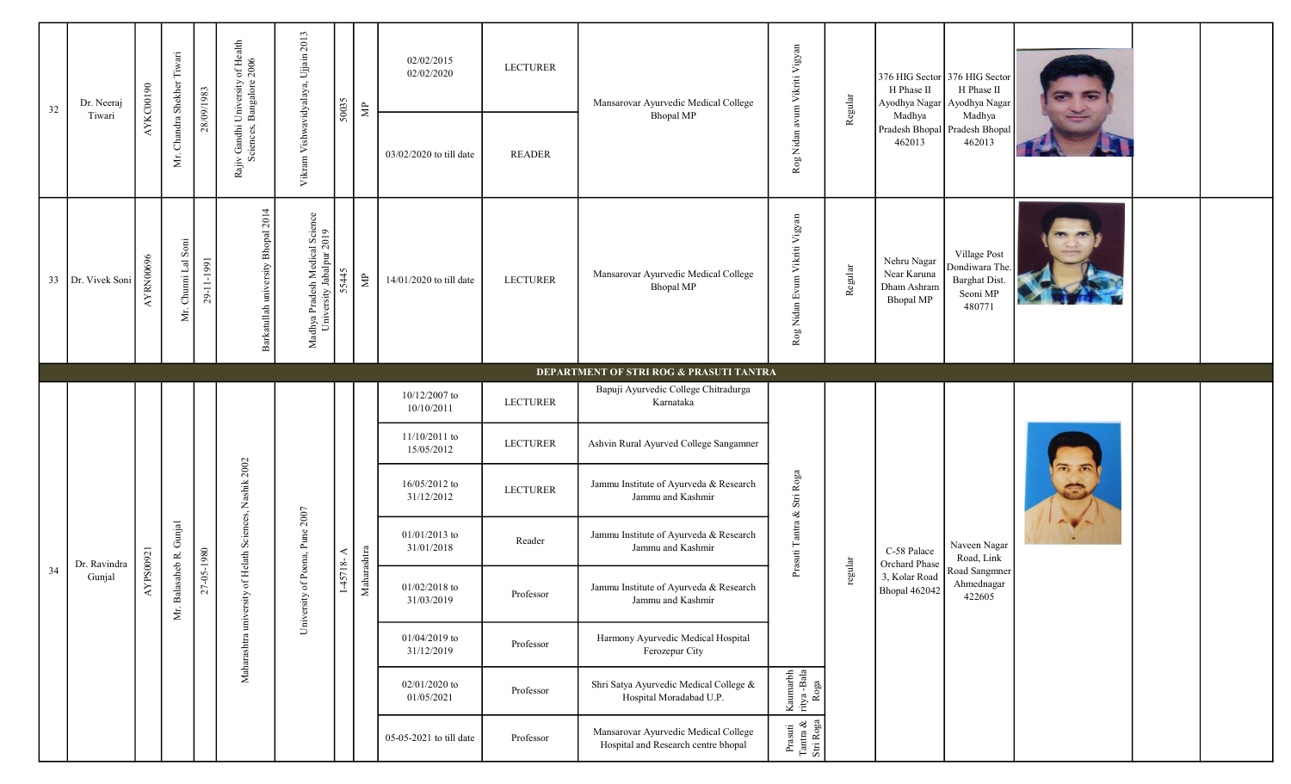| 32 | Dr. Neeraj        | AYKC00190 | Mr. Chandra Shekher Tiwari | 28/09/1983 | Rajiv Gandhi University of Health<br>Sciences, Bangalore 2006 | 2013                                                       | 50035         | $\mathbf{\Xi}$ | 02/02/2015<br>02/02/2020      | <b>LECTURER</b> | Mansarovar Ayurvedic Medical College                                        | Rog Nidan avum Vikriti Vigyan                                     | Regular | H Phase II                                                    | 376 HIG Sector 376 HIG Sector<br>H Phase II<br>Ayodhya Nagar Ayodhya Nagar |  |  |
|----|-------------------|-----------|----------------------------|------------|---------------------------------------------------------------|------------------------------------------------------------|---------------|----------------|-------------------------------|-----------------|-----------------------------------------------------------------------------|-------------------------------------------------------------------|---------|---------------------------------------------------------------|----------------------------------------------------------------------------|--|--|
|    | Tiwari            |           |                            |            |                                                               | Vikram Vishwavidyalaya, Ujjain                             |               |                | 03/02/2020 to till date       | <b>READER</b>   | <b>Bhopal MP</b>                                                            |                                                                   |         | Madhya<br>462013                                              | Madhya<br>Pradesh Bhopal Pradesh Bhopal<br>462013                          |  |  |
|    | 33 Dr. Vivek Soni | AYRN00696 | Mr. Chunni Lal Soni        | 29-11-1991 | Barkatullah university Bhopal 2014                            | Madhya Pradesh Medical Science<br>University Jabalpur 2019 | 55445         | $\mathsf{\Xi}$ | 14/01/2020 to till date       | <b>LECTURER</b> | Mansarovar Ayurvedic Medical College<br><b>Bhopal MP</b>                    | Rog Nidan Evum Vikriti Vigyan                                     | Regular | Nehru Nagar<br>Near Karuna<br>Dham Ashram<br><b>Bhopal MP</b> | Village Post<br>Dondiwara The.<br>Barghat Dist.<br>Seoni MP<br>480771      |  |  |
|    |                   |           |                            |            |                                                               |                                                            |               |                |                               |                 | DEPARTMENT OF STRI ROG & PRASUTI TANTRA                                     |                                                                   |         |                                                               |                                                                            |  |  |
|    |                   |           |                            |            |                                                               |                                                            |               |                | 10/12/2007 to<br>10/10/2011   | <b>LECTURER</b> | Bapuji Ayurvedic College Chitradurga<br>Karnataka                           |                                                                   |         |                                                               |                                                                            |  |  |
|    |                   |           |                            |            |                                                               |                                                            |               |                | $11/10/2011$ to<br>15/05/2012 | <b>LECTURER</b> | Ashvin Rural Ayurved College Sangamner                                      |                                                                   |         |                                                               |                                                                            |  |  |
|    |                   |           |                            |            | of Helath Sciences, Nashik 2002                               |                                                            |               |                | 16/05/2012 to<br>31/12/2012   | <b>LECTURER</b> | Jammu Institute of Ayurveda & Research<br>Jammu and Kashmir                 |                                                                   |         |                                                               |                                                                            |  |  |
|    | Dr. Ravindra      |           |                            |            |                                                               | of Poona, Pune 2007                                        |               |                | $01/01/2013$ to<br>31/01/2018 | Reader          | Jammu Institute of Ayurveda & Research<br>Jammu and Kashmir                 | Prasuti Tantra & Stri Roga                                        |         | $\mbox{C-58 }\mbox{Palace}$<br>Orchard Phase                  | Naveen Nagar<br>Road, Link                                                 |  |  |
| 34 | Gunjal            | AYPS00921 | Mr. Balasaheb R. Gunjal    | 27-05-1980 |                                                               | University                                                 | $1-45718 - A$ | Maharashtra    | $01/02/2018$ to<br>31/03/2019 | Professor       | Jammu Institute of Ayurveda & Research<br>Jammu and Kashmir                 |                                                                   | regular | 3, Kolar Road<br><b>Bhopal 462042</b>                         | Road Sangmner<br>Ahmednagar<br>422605                                      |  |  |
|    |                   |           |                            |            | Maharashtra university                                        |                                                            |               |                | $01/04/2019$ to<br>31/12/2019 | Professor       | Harmony Ayurvedic Medical Hospital<br>Ferozepur City                        |                                                                   |         |                                                               |                                                                            |  |  |
|    |                   |           |                            |            |                                                               |                                                            |               |                | $02/01/2020$ to<br>01/05/2021 | Professor       | Shri Satya Ayurvedic Medical College &<br>Hospital Moradabad U.P.           | $\begin{tabular}{l} Kaumarbh\\ ritya - Bala\\ Roga \end{tabular}$ |         |                                                               |                                                                            |  |  |
|    |                   |           |                            |            |                                                               |                                                            |               |                | 05-05-2021 to till date       | Professor       | Mansarovar Ayurvedic Medical College<br>Hospital and Research centre bhopal | Prasuti<br>Tantra &<br>Stri Roga                                  |         |                                                               |                                                                            |  |  |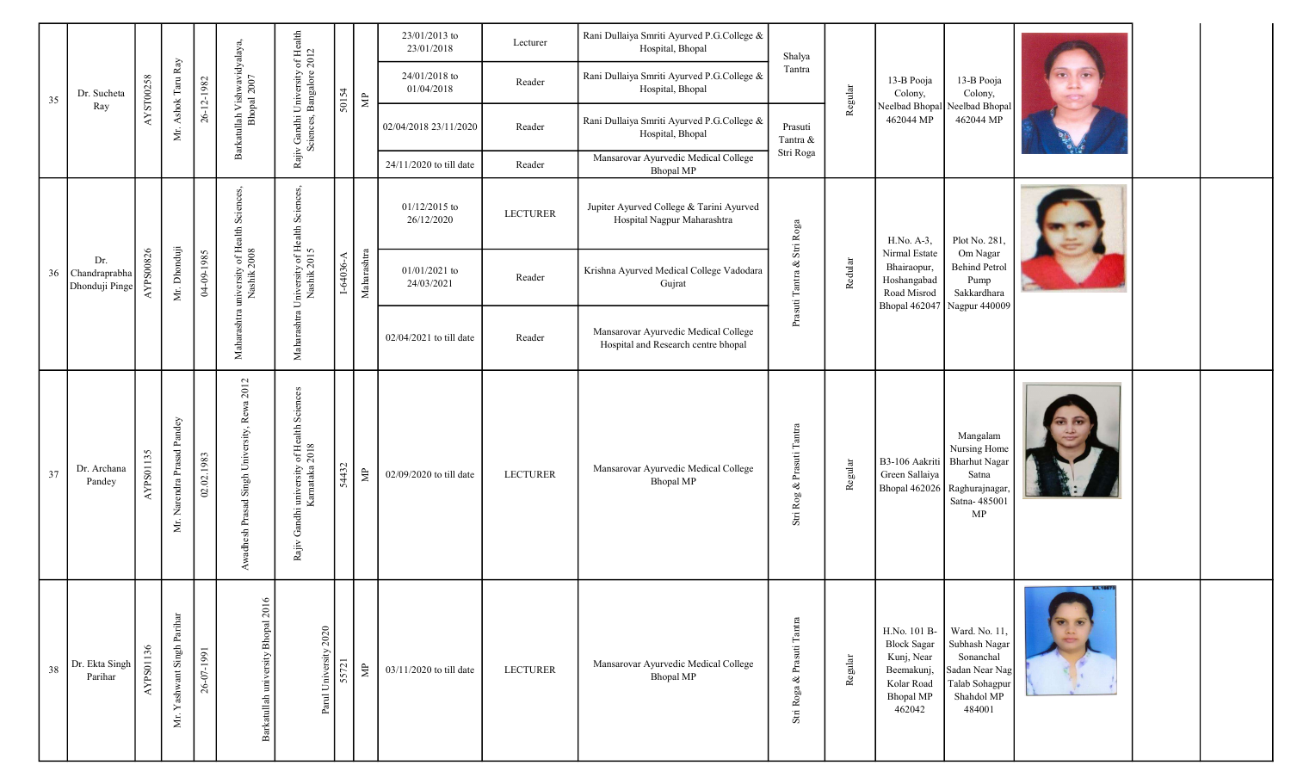|    |                                           |           |                            |            |                                             | of Health<br>$2012$                                                   |             |                       | 23/01/2013 to<br>23/01/2018   | Lecturer        | Rani Dullaiya Smriti Ayurved P.G.College &<br>Hospital, Bhopal              | Shalya                     |         |                                                                                                            |                                                                                                         |                 |  |
|----|-------------------------------------------|-----------|----------------------------|------------|---------------------------------------------|-----------------------------------------------------------------------|-------------|-----------------------|-------------------------------|-----------------|-----------------------------------------------------------------------------|----------------------------|---------|------------------------------------------------------------------------------------------------------------|---------------------------------------------------------------------------------------------------------|-----------------|--|
| 35 | Dr. Sucheta                               | AYST00258 | Mr. Ashok Taru Ray         | 26-12-1982 |                                             |                                                                       | 50154       | $\mathrel{\uncorner}$ | 24/01/2018 to<br>01/04/2018   | Reader          | Rani Dullaiya Smriti Ayurved P.G.College &<br>Hospital, Bhopal              | Tantra                     | Regular | 13-B Pooja<br>Colony,                                                                                      | 13-B Pooja<br>Colony,                                                                                   |                 |  |
|    | Ray                                       |           |                            |            | Barkatullah Vishwavidyalaya,<br>Bhopal 2007 | Rajiv Gandhi University<br>Sciences, Bangalore                        |             |                       | 02/04/2018 23/11/2020         | Reader          | Rani Dullaiya Smriti Ayurved P.G.College &<br>Hospital, Bhopal              | Prasuti<br>Tantra &        |         | 462044 MP                                                                                                  | Neelbad Bhopal Neelbad Bhopal<br>462044 MP                                                              |                 |  |
|    |                                           |           |                            |            |                                             |                                                                       |             |                       | 24/11/2020 to till date       | Reader          | Mansarovar Ayurvedic Medical College<br><b>Bhopal MP</b>                    | Stri Roga                  |         |                                                                                                            |                                                                                                         |                 |  |
|    |                                           |           |                            |            |                                             | University of Health Sciences,<br>Nashik 2015                         |             |                       | 01/12/2015 to<br>26/12/2020   | <b>LECTURER</b> | Jupiter Ayurved College & Tarini Ayurved<br>Hospital Nagpur Maharashtra     |                            |         | $H.No. A-3,$                                                                                               | Plot No. 281,                                                                                           |                 |  |
|    | Dr.<br>36 Chandraprabha<br>Dhonduji Pinge | AYPS00826 | Mr. Dhonduji               | 04-09-1985 | university of Health Scienc<br>Nashik 2008  |                                                                       | $I-64036-A$ | Maharashtra           | $01/01/2021$ to<br>24/03/2021 | Reader          | Krishna Ayurved Medical College Vadodara<br>Gujrat                          | Prasuti Tantra & Stri Roga | Redular | Nirmal Estate<br>Bhairaopur,<br>Hoshangabad<br>Road Misrod                                                 | Om Nagar<br><b>Behind Petrol</b><br>Pump<br>Sakkardhara<br>Bhopal 462047 Nagpur 440009                  |                 |  |
|    |                                           |           |                            |            | Maharashtra                                 | Maharashtra                                                           |             |                       | $02/04/2021$ to till date     | Reader          | Mansarovar Ayurvedic Medical College<br>Hospital and Research centre bhopal |                            |         |                                                                                                            |                                                                                                         |                 |  |
| 37 | Dr. Archana<br>Pandey                     | AYPS01135 | Mr. Narendra Prasad Pandey | 02.02.1983 | Awadhesh Prasad Singh University, Rewa 2012 | of Health Sciences<br>2018<br>Gandhi university of Karnataka<br>Rajiv | 54432       | 皂                     | 02/09/2020 to till date       | <b>LECTURER</b> | Mansarovar Ayurvedic Medical College<br><b>Bhopal MP</b>                    | Stri Rog & Prasuti Tantra  | Regular | B3-106 Aakriti<br>Green Sallaiya<br>Bhopal 462026 Raghurajnagar                                            | Mangalam<br>Nursing Home<br><b>Bharhut Nagar</b><br>Satna<br>Satna-485001<br>MP                         |                 |  |
| 38 | Dr. Ekta Singh<br>Parihar                 | AYPS01136 | Mr. Yashwant Singh Parihar | 26-07-1991 | Barkatullah university Bhopal 2016          | Parul University 2020                                                 | 55721       | $\mathbb{S}^1$        | $03/11/2020$ to till date     | <b>LECTURER</b> | Mansarovar Ayurvedic Medical College<br><b>Bhopal MP</b>                    | Stri Roga & Prasuti Tantra | Regular | H.No. 101 B-<br><b>Block Sagar</b><br>Kunj, Near<br>Beemakunj,<br>Kolar Road<br><b>Bhopal MP</b><br>462042 | Ward. No. 11,<br>Subhash Nagar<br>Sonanchal<br>Sadan Near Nag<br>Talab Sohagpur<br>Shahdol MP<br>484001 | <b>BA.16673</b> |  |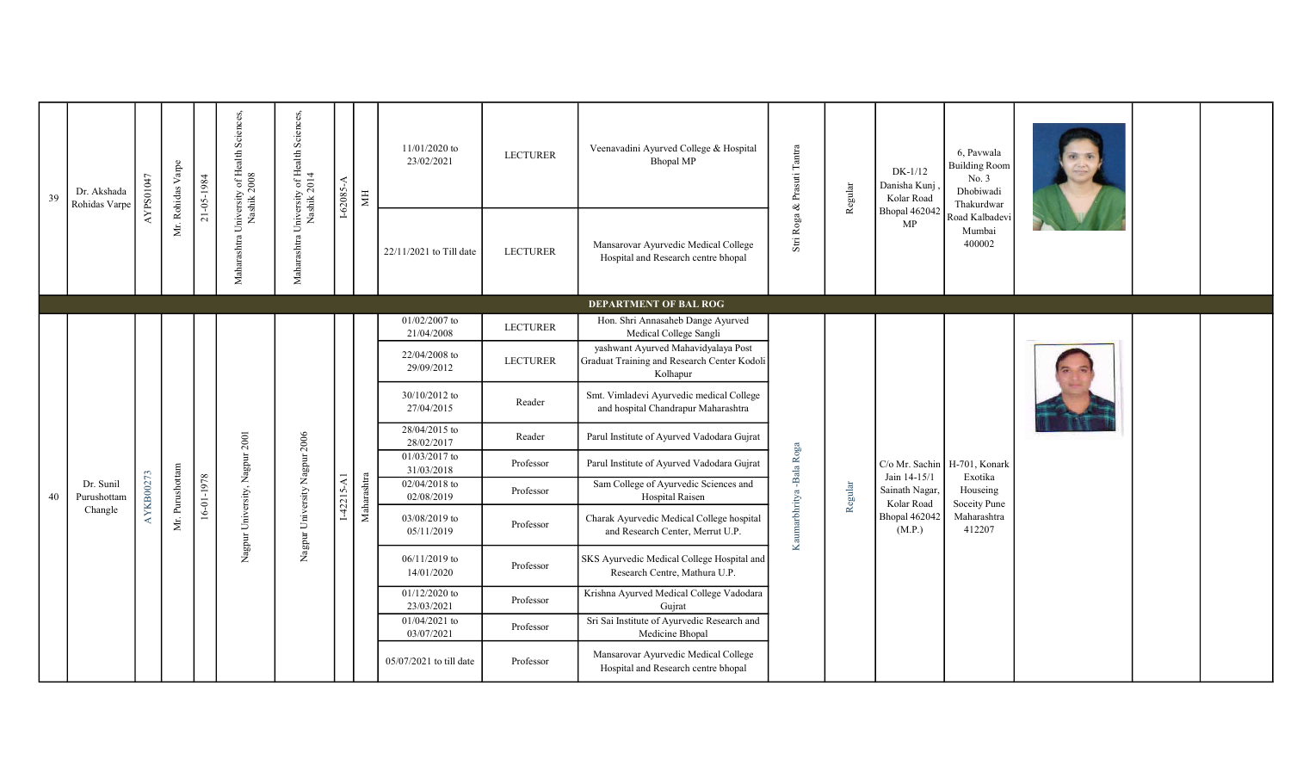| 39 | Dr. Akshada<br>Rohidas Varpe | AYPS01047 | Mr. Rohidas Varpe | 21-05-1984 | Sciences                                        | Maharashtra University of Health Sciences,<br>Nashik 2014 | $I-62085-A$  | Ħ           | 11/01/2020 to<br>23/02/2021   | <b>LECTURER</b> | Veenavadini Ayurved College & Hospital<br><b>Bhopal MP</b>                                     | Stri Roga & Prasuti Tantra | Regular | $DK-1/12$<br>Danisha Kunj<br>Kolar Road | 6, Pavwala<br><b>Building Room</b><br>No. 3<br>Dhobiwadi<br>Thakurdwar |  |  |
|----|------------------------------|-----------|-------------------|------------|-------------------------------------------------|-----------------------------------------------------------|--------------|-------------|-------------------------------|-----------------|------------------------------------------------------------------------------------------------|----------------------------|---------|-----------------------------------------|------------------------------------------------------------------------|--|--|
|    |                              |           |                   |            | Maharashtra University of Health<br>Nashik 2008 |                                                           |              |             | 22/11/2021 to Till date       | <b>LECTURER</b> | Mansarovar Ayurvedic Medical College<br>Hospital and Research centre bhopal                    |                            |         | Bhopal 462042<br>MP                     | Road Kalbadev<br>Mumbai<br>400002                                      |  |  |
|    |                              |           |                   |            |                                                 |                                                           |              |             |                               |                 | DEPARTMENT OF BAL ROG                                                                          |                            |         |                                         |                                                                        |  |  |
|    |                              |           |                   |            |                                                 |                                                           |              |             | $01/02/2007$ to<br>21/04/2008 | LECTURER        | Hon. Shri Annasaheb Dange Ayurved<br>Medical College Sangli                                    |                            |         |                                         |                                                                        |  |  |
|    |                              |           |                   |            |                                                 |                                                           |              |             | 22/04/2008 to<br>29/09/2012   | <b>LECTURER</b> | yashwant Ayurved Mahavidyalaya Post<br>Graduat Training and Research Center Kodoli<br>Kolhapur |                            |         |                                         |                                                                        |  |  |
|    |                              |           |                   |            |                                                 |                                                           |              |             | 30/10/2012 to<br>27/04/2015   | Reader          | Smt. Vimladevi Ayurvedic medical College<br>and hospital Chandrapur Maharashtra                |                            |         |                                         |                                                                        |  |  |
|    |                              |           |                   |            |                                                 |                                                           |              |             | 28/04/2015 to<br>28/02/2017   | Reader          | Parul Institute of Ayurved Vadodara Gujrat                                                     |                            |         |                                         |                                                                        |  |  |
|    |                              |           |                   |            | University, Nagpur 2001                         |                                                           |              |             | 01/03/2017 to<br>31/03/2018   | Professor       | Parul Institute of Ayurved Vadodara Gujrat                                                     |                            |         | Jain 14-15/1                            | C/o Mr. Sachin   H-701, Konark<br>Exotika                              |  |  |
| 40 | Dr. Sunil<br>Purushottam     | AYKB00273 | Mr. Purushottam   | 16-01-1978 |                                                 |                                                           | $I-42215-A1$ | Maharashtra | 02/04/2018 to<br>02/08/2019   | Professor       | Sam College of Ayurvedic Sciences and<br>Hospital Raisen                                       |                            | Regular | Sainath Nagar,<br>Kolar Road            | Houseing<br>Soceity Pune                                               |  |  |
|    | Changle                      |           |                   |            |                                                 | Nagpur University Nagpur 2006                             |              |             | 03/08/2019 to<br>05/11/2019   | Professor       | Charak Ayurvedic Medical College hospital<br>and Research Center, Merrut U.P.                  | Kaumarbhritya -Bala Roga   |         | Bhopal 462042<br>(M.P.)                 | Maharashtra<br>412207                                                  |  |  |
|    |                              |           |                   |            | Nagpur <sup>1</sup>                             |                                                           |              |             | $06/11/2019$ to<br>14/01/2020 | Professor       | SKS Ayurvedic Medical College Hospital and<br>Research Centre, Mathura U.P.                    |                            |         |                                         |                                                                        |  |  |
|    |                              |           |                   |            |                                                 |                                                           |              |             | 01/12/2020 to<br>23/03/2021   | Professor       | Krishna Ayurved Medical College Vadodara<br>Gujrat                                             |                            |         |                                         |                                                                        |  |  |
|    |                              |           |                   |            |                                                 |                                                           |              |             | 01/04/2021 to<br>03/07/2021   | Professor       | Sri Sai Institute of Ayurvedic Research and<br>Medicine Bhopal                                 |                            |         |                                         |                                                                        |  |  |
|    |                              |           |                   |            |                                                 |                                                           |              |             | 05/07/2021 to till date       | Professor       | Mansarovar Ayurvedic Medical College<br>Hospital and Research centre bhopal                    |                            |         |                                         |                                                                        |  |  |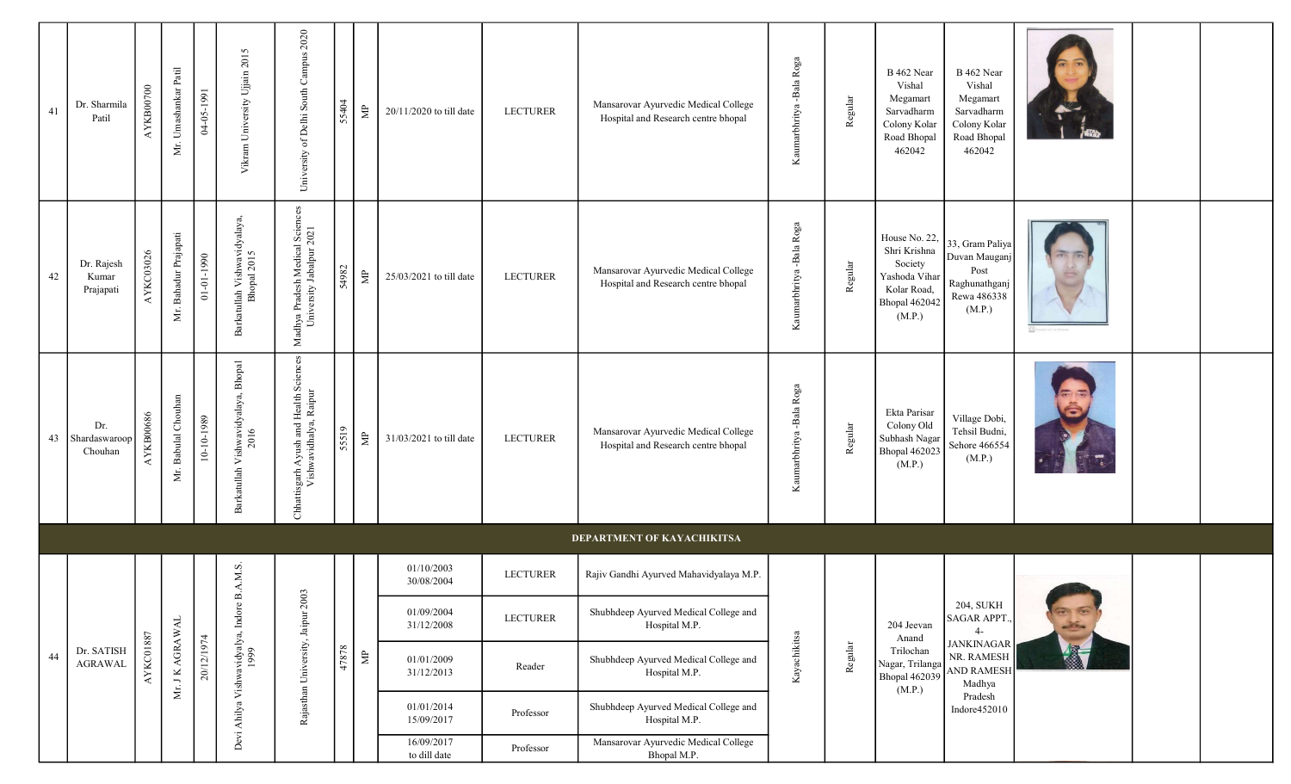| 41 | Dr. Sharmila<br>Patil            | AYKB00700        | Umashankar Patil<br>Уr. | 04-05-1991       | Vikram University Ujjain 2015                | University of Delhi South Campus 2020                            | 55404 | $\mathrel{\uncorner}$ | 20/11/2020 to till date    | <b>LECTURER</b> | Mansarovar Ayurvedic Medical College<br>Hospital and Research centre bhopal | Roga<br>Kaumarbhritya -Bala | Regular | B 462 Near<br>Vishal<br>Megamart<br>Sarvadharm<br>Colony Kolar<br>Road Bhopal<br>462042                    | B 462 Near<br>Vishal<br>Megamart<br>Sarvadharm<br>Colony Kolar<br>Road Bhopal<br>462042 |                                                |  |
|----|----------------------------------|------------------|-------------------------|------------------|----------------------------------------------|------------------------------------------------------------------|-------|-----------------------|----------------------------|-----------------|-----------------------------------------------------------------------------|-----------------------------|---------|------------------------------------------------------------------------------------------------------------|-----------------------------------------------------------------------------------------|------------------------------------------------|--|
| 42 | Dr. Rajesh<br>Kumar<br>Prajapati | AYKC03026        | Mr. Bahadur Prajapati   | $01 - 01 - 1990$ | Barkatullah Vishwavidyalaya,<br>Bhopal 2015  | Madhya Pradesh Medical Sciences<br>University Jabalpur 2021      | 54982 | $\mathrel{\uncorner}$ | 25/03/2021 to till date    | <b>LECTURER</b> | Mansarovar Ayurvedic Medical College<br>Hospital and Research centre bhopal | Kaumarbhritya -Bala Roga    | Regular | House No. 22,<br>Shri Krishna<br>Society<br>Yashoda Vihar<br>Kolar Road,<br><b>Bhopal 462042</b><br>(M.P.) | 33, Gram Paliya<br>Duvan Mauganj<br>Post<br>Raghunathganj<br>Rewa 486338<br>(M.P.)      |                                                |  |
| 43 | Dr.<br>Shardaswaroop<br>Chouhan  | AYKB00686        | Babulal Chouhan<br>Δŕ.  | 10-10-1989       | Barkatullah Vishwavidyalaya, Bhopal          | Chhattisgarh Ayush and Health Sciences<br>Vishwavidhalya, Raipur | 55519 | $\mathop{\boxplus}$   | 31/03/2021 to till date    | <b>LECTURER</b> | Mansarovar Ayurvedic Medical College<br>Hospital and Research centre bhopal | Kaumarbhritya -Bala Roga    | Regular | Ekta Parisar<br>Colony Old<br>Subhash Nagar<br>Bhopal 462023<br>(M.P.)                                     | Village Dobi,<br>Tehsil Budni,<br>Sehore 466554<br>(M.P.)                               | ä                                              |  |
|    |                                  |                  |                         |                  |                                              |                                                                  |       |                       |                            |                 | DEPARTMENT OF KAYACHIKITSA                                                  |                             |         |                                                                                                            |                                                                                         |                                                |  |
|    |                                  |                  |                         |                  | A.M.S.                                       | $\mathfrak{g}$                                                   |       |                       | 01/10/2003<br>30/08/2004   | <b>LECTURER</b> | Rajiv Gandhi Ayurved Mahavidyalaya M.P.                                     |                             |         |                                                                                                            |                                                                                         |                                                |  |
|    |                                  |                  |                         |                  |                                              |                                                                  |       |                       | 01/09/2004<br>31/12/2008   | <b>LECTURER</b> | Shubhdeep Ayurved Medical College and<br>Hospital M.P.                      |                             |         | 204 Jeevan<br>Anand                                                                                        | <b>204, SUKH</b><br>SAGAR APPT.,<br>$4-$                                                | $\overline{a}$ $\overline{a}$<br>$\frac{1}{2}$ |  |
| 44 | Dr. SATISH<br><b>AGRAWAL</b>     | <b>AYKC01887</b> | Mr. J K AGRAWAL         | 20/12/1974       | Devi Ahilya Vishwavidyalya, Indore B<br>1999 | Rajasthan University, Jaipur 200                                 | 47878 | $\Xi$                 | 01/01/2009<br>31/12/2013   | Reader          | Shubhdeep Ayurved Medical College and<br>Hospital M.P.                      | Kayachikitsa                | Regular | Trilochan<br>Nagar, Trilanga<br><b>Bhopal 462039</b><br>(M.P.)                                             | <b>JANKINAGAR</b><br>NR. RAMESH<br><b>AND RAMESH</b><br>Madhya                          | 图                                              |  |
|    |                                  |                  |                         |                  |                                              |                                                                  |       |                       | 01/01/2014<br>15/09/2017   | Professor       | Shubhdeep Ayurved Medical College and<br>Hospital M.P.                      |                             |         |                                                                                                            | Pradesh<br>Indore452010                                                                 |                                                |  |
|    |                                  |                  |                         |                  |                                              |                                                                  |       |                       | 16/09/2017<br>to dill date | Professor       | Mansarovar Ayurvedic Medical College<br>Bhopal M.P.                         |                             |         |                                                                                                            |                                                                                         |                                                |  |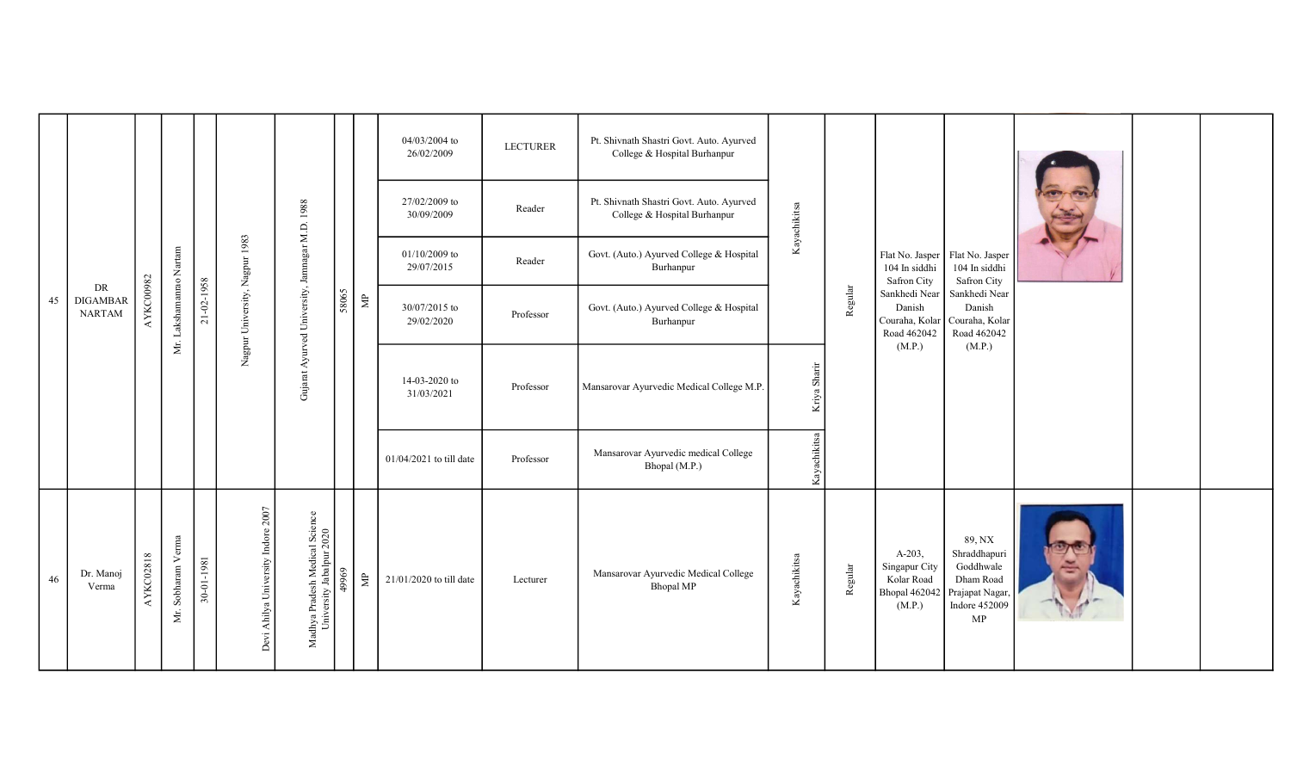|    |                                        |                  |                         |            |                                |                                                            |       |                                | 04/03/2004 to<br>26/02/2009   | <b>LECTURER</b> | Pt. Shivnath Shastri Govt. Auto. Ayurved<br>College & Hospital Burhanpur |              |                              |                                                                   |                                                                           |                                                                                                   |   |  |
|----|----------------------------------------|------------------|-------------------------|------------|--------------------------------|------------------------------------------------------------|-------|--------------------------------|-------------------------------|-----------------|--------------------------------------------------------------------------|--------------|------------------------------|-------------------------------------------------------------------|---------------------------------------------------------------------------|---------------------------------------------------------------------------------------------------|---|--|
| 45 |                                        |                  |                         |            |                                | M.D. 1988                                                  |       |                                | 27/02/2009 to<br>30/09/2009   | Reader          | Pt. Shivnath Shastri Govt. Auto. Ayurved<br>College & Hospital Burhanpur | Kayachikitsa |                              |                                                                   |                                                                           |                                                                                                   |   |  |
|    |                                        |                  |                         |            |                                |                                                            |       | $\mathrel{\mathop{\boxtimes}}$ | $01/10/2009$ to<br>29/07/2015 | Reader          | Govt. (Auto.) Ayurved College & Hospital<br>Burhanpur                    |              | 104 In siddhi<br>Safron City | Flat No. Jasper   Flat No. Jasper<br>104 In siddhi<br>Safron City |                                                                           |                                                                                                   |   |  |
|    | DR<br><b>DIGAMBAR</b><br><b>NARTAM</b> | AYKC00982        | Mr. Lakshamanrao Nartam | 21-02-1958 | Nagpur University, Nagpur 1983 | Gujarat Ayurved University, Jamnagar                       | 58065 |                                | 30/07/2015 to<br>29/02/2020   | Professor       | Govt. (Auto.) Ayurved College & Hospital<br>Burhanpur                    |              |                              | Regular                                                           | Sankhedi Near<br>Danish<br>Road 462042<br>(M.P.)                          | Sankhedi Near<br>Danish<br>Couraha, Kolar   Couraha, Kolar<br>Road 462042<br>(M.P.)               |   |  |
|    |                                        |                  |                         |            |                                |                                                            |       |                                | 14-03-2020 to<br>31/03/2021   | Professor       | Mansarovar Ayurvedic Medical College M.P.                                |              | Kriya Sharir                 |                                                                   |                                                                           |                                                                                                   |   |  |
|    |                                        |                  |                         |            |                                |                                                            |       |                                | 01/04/2021 to till date       | Professor       | Mansarovar Ayurvedic medical College<br>Bhopal (M.P.)                    |              | Kayachikitsa                 |                                                                   |                                                                           |                                                                                                   |   |  |
| 46 | Dr. Manoj<br>Verma                     | <b>AYKC02818</b> | Mr. Sobharam Verma      | 30-01-1981 | 2007<br>Ahilya University      | Madhya Pradesh Medical Science<br>University Jabalpur 2020 | 49969 | $\mathbf{\Xi}$                 | 21/01/2020 to till date       | Lecturer        | Mansarovar Ayurvedic Medical College<br><b>Bhopal MP</b>                 | Kayachikitsa |                              | Regular                                                           | $A-203,$<br>Singapur City<br>Kolar Road<br><b>Bhopal 462042</b><br>(M.P.) | 89, NX<br>Shraddhapuri<br>Goddhwale<br>Dham Road<br>Prajapat Nagar,<br><b>Indore 452009</b><br>MP | Ξ |  |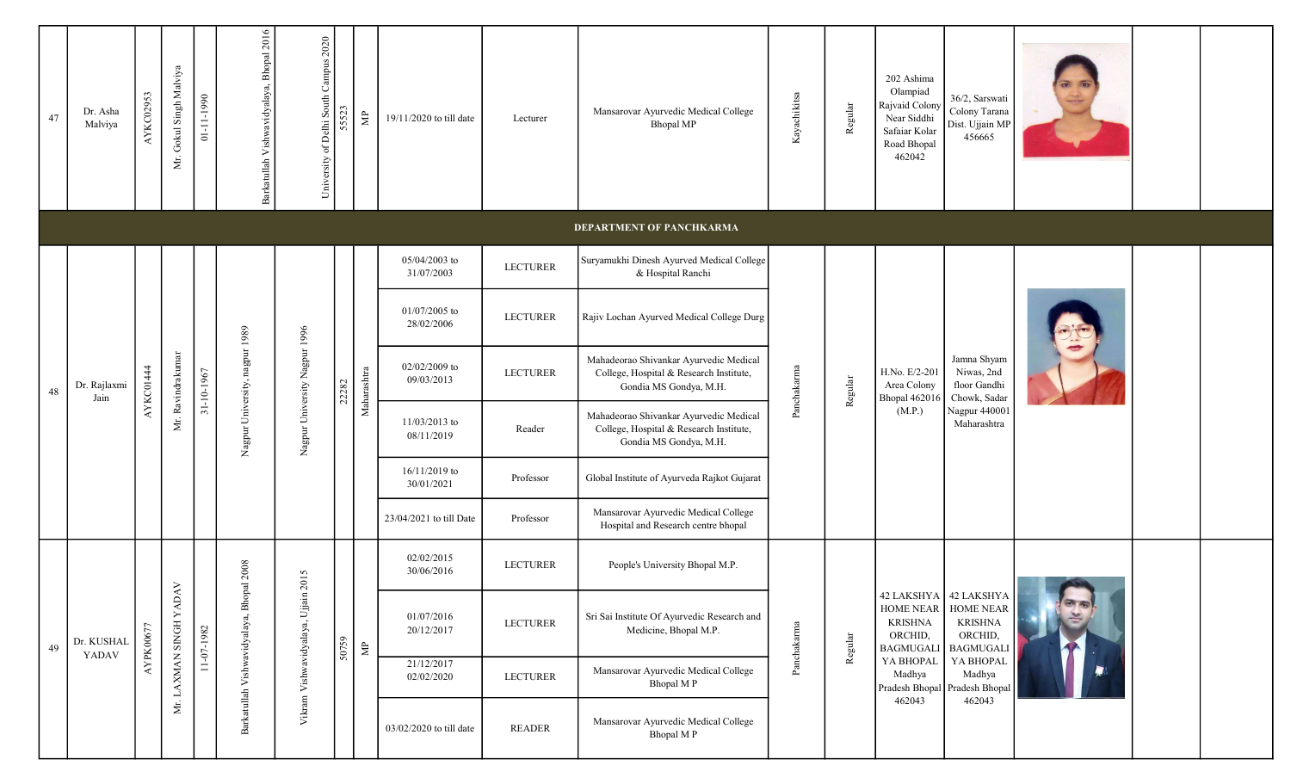| 47 | Dr. Asha<br>Malviya  | AYKC02953 | Mr. Gokul Singh Malviya | $01 - 11 - 1990$ | Barkatullah Vishwavidyalaya, Bhopal 2016 | University of Delhi South Campus 2020 | 5552  | $\gtrapprox$                                                                                                                                                                                                                                               | 19/11/2020 to till date     | Lecturer        | Mansarovar Ayurvedic Medical College<br>Bhopal MP                                                           | Kayachikitsa | Regular | 202 Ashima<br>Olampiad<br>Rajvaid Colony<br>Near Siddhi<br>Safaiar Kolar<br>Road Bhopal<br>462042 | 36/2, Sarswati<br>Colony Tarana<br>Dist. Ujjain MP<br>456665                              |    |  |
|----|----------------------|-----------|-------------------------|------------------|------------------------------------------|---------------------------------------|-------|------------------------------------------------------------------------------------------------------------------------------------------------------------------------------------------------------------------------------------------------------------|-----------------------------|-----------------|-------------------------------------------------------------------------------------------------------------|--------------|---------|---------------------------------------------------------------------------------------------------|-------------------------------------------------------------------------------------------|----|--|
|    |                      |           |                         |                  |                                          |                                       |       |                                                                                                                                                                                                                                                            |                             |                 | <b>DEPARTMENT OF PANCHKARMA</b>                                                                             |              |         |                                                                                                   |                                                                                           |    |  |
|    |                      |           |                         |                  |                                          |                                       |       |                                                                                                                                                                                                                                                            | 05/04/2003 to<br>31/07/2003 | <b>LECTURER</b> | Suryamukhi Dinesh Ayurved Medical College<br>& Hospital Ranchi                                              |              |         |                                                                                                   |                                                                                           |    |  |
|    | Dr. Rajlaxmi<br>Jain |           |                         |                  |                                          |                                       |       |                                                                                                                                                                                                                                                            | 01/07/2005 to<br>28/02/2006 | <b>LECTURER</b> | Rajiv Lochan Ayurved Medical College Durg                                                                   |              |         |                                                                                                   |                                                                                           |    |  |
| 48 |                      | AYKC01444 | Mr. Ravindrakumar       | 31-10-1967       | Nagpur University, nagpur 1989           | Nagpur University Nagpur 1996         | 22282 | $\label{eq:1} \ensuremath{\mathsf{Man}}\xspace\ensuremath{\mathsf{a}}\xspace\ensuremath{\mathsf{h}}\xspace\ensuremath{\mathsf{a}}\xspace\ensuremath{\mathsf{h}}\xspace\ensuremath{\mathsf{t}}\xspace\ensuremath{\mathsf{r}}\xspace\ensuremath{\mathsf{a}}$ | 02/02/2009 to<br>09/03/2013 | <b>LECTURER</b> | Mahadeorao Shivankar Ayurvedic Medical<br>College, Hospital & Research Institute,<br>Gondia MS Gondya, M.H. | Panchakarma  | Regular | H.No. E/2-201<br>Area Colony<br><b>Bhopal 462016</b>                                              | Jamna Shyam<br>Niwas, 2nd<br>floor Gandhi<br>Chowk, Sadar<br>Nagpur 440001<br>Maharashtra |    |  |
|    |                      |           |                         |                  |                                          |                                       |       |                                                                                                                                                                                                                                                            | 11/03/2013 to<br>08/11/2019 | Reader          | Mahadeorao Shivankar Ayurvedic Medical<br>College, Hospital & Research Institute,<br>Gondia MS Gondya, M.H. |              |         | (M.P.)                                                                                            |                                                                                           |    |  |
|    |                      |           |                         |                  |                                          |                                       |       |                                                                                                                                                                                                                                                            | 16/11/2019 to<br>30/01/2021 | Professor       | Global Institute of Ayurveda Rajkot Gujarat                                                                 |              |         |                                                                                                   |                                                                                           |    |  |
|    |                      |           |                         |                  |                                          |                                       |       |                                                                                                                                                                                                                                                            | 23/04/2021 to till Date     | Professor       | Mansarovar Ayurvedic Medical College<br>Hospital and Research centre bhopal                                 |              |         |                                                                                                   |                                                                                           |    |  |
|    |                      |           |                         |                  |                                          | in 2015                               |       |                                                                                                                                                                                                                                                            | 02/02/2015<br>30/06/2016    | <b>LECTURER</b> | People's University Bhopal M.P.                                                                             |              |         |                                                                                                   |                                                                                           |    |  |
| 49 | Dr. KUSHAL<br>YADAV  | AYPK00677 | Mr. LAXMAN SINGH YADAV  | 11-07-1982       | Barkatullah Vishwavidyalaya, Bhopal 2008 | Vikram Vishwavidyalaya, Ujja          | 50759 | $\mathbf{\Xi}$                                                                                                                                                                                                                                             | 01/07/2016<br>20/12/2017    | <b>LECTURER</b> | Sri Sai Institute Of Ayurvedic Research and<br>Medicine, Bhopal M.P.                                        | Panchakarma  | Regular | HOME NEAR<br><b>KRISHNA</b><br>ORCHID,<br><b>BAGMUGALI</b>                                        | 42 LAKSHYA   42 LAKSHYA   <br>HOME NEAR<br><b>KRISHNA</b><br>ORCHID,<br><b>BAGMUGALI</b>  |    |  |
|    |                      |           |                         |                  |                                          |                                       |       |                                                                                                                                                                                                                                                            | 21/12/2017<br>02/02/2020    | <b>LECTURER</b> | Mansarovar Ayurvedic Medical College<br>Bhopal MP                                                           |              |         | YA BHOPAL<br>Madhya                                                                               | YA BHOPAL<br>Madhya<br>Pradesh Bhopal Pradesh Bhopal                                      | D. |  |
|    |                      |           |                         |                  |                                          |                                       |       |                                                                                                                                                                                                                                                            | 03/02/2020 to till date     | <b>READER</b>   | Mansarovar Ayurvedic Medical College<br>Bhopal MP                                                           |              |         | 462043                                                                                            | 462043                                                                                    |    |  |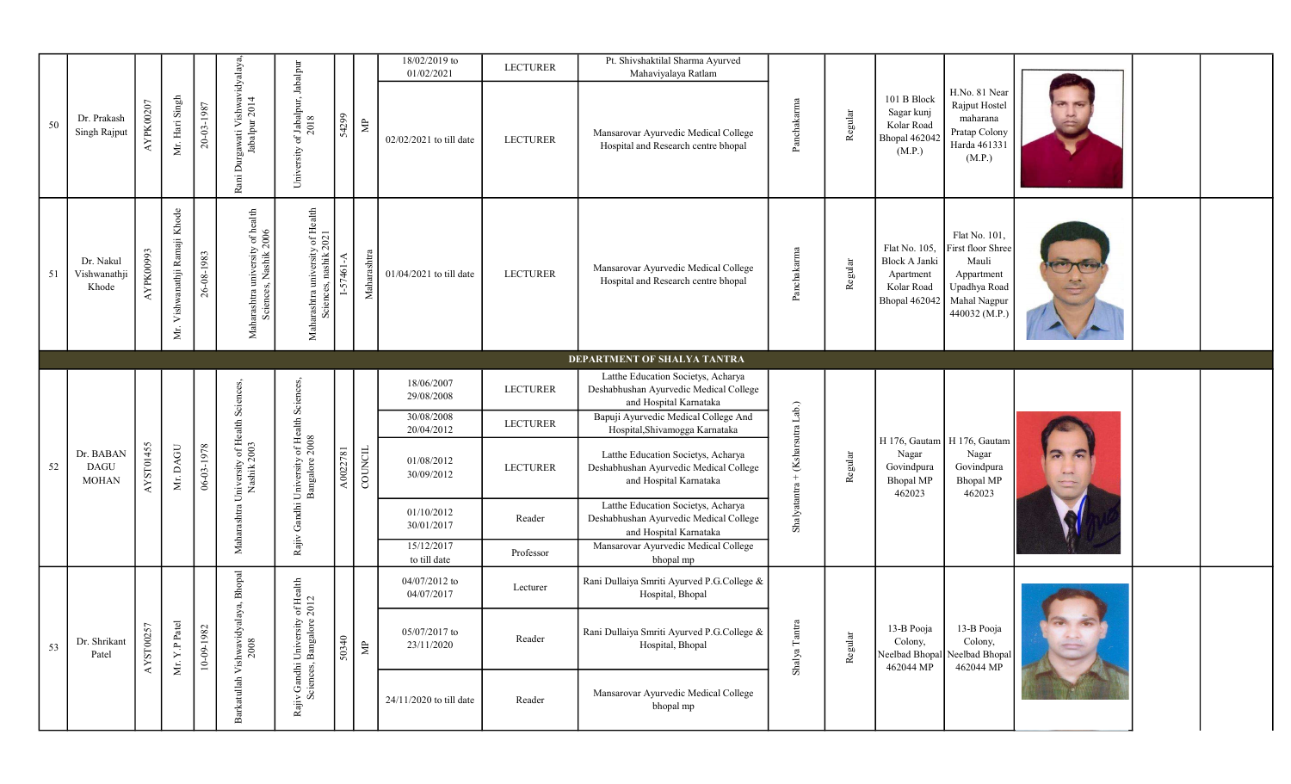|    |                                          |           |                                  |            |                                                           |                                                           |           |                    | 18/02/2019 to<br>01/02/2021 | <b>LECTURER</b>          | Pt. Shivshaktilal Sharma Ayurved<br>Mahaviyalaya Ratlam                                                |                                                                        |         |                                                                            |                                                                                                            |  |  |  |
|----|------------------------------------------|-----------|----------------------------------|------------|-----------------------------------------------------------|-----------------------------------------------------------|-----------|--------------------|-----------------------------|--------------------------|--------------------------------------------------------------------------------------------------------|------------------------------------------------------------------------|---------|----------------------------------------------------------------------------|------------------------------------------------------------------------------------------------------------|--|--|--|
| 50 | Dr. Prakash<br>Singh Rajput              | AYPK00207 | Mr. Hari Singh                   | 20-03-1987 | Rani Durgawati Vishwavidyalaya,<br>Jabalpur 2014          | University of Jabalpur, Jabalpur                          | 54299     | $\mathbf{\hat{z}}$ | 02/02/2021 to till date     | <b>LECTURER</b>          | Mansarovar Ayurvedic Medical College<br>Hospital and Research centre bhopal                            | Panchakarma                                                            | Regular | 101 B Block<br>Sagar kunj<br>Kolar Road<br>Bhopal 462042<br>(M.P.)         | H.No. 81 Near<br>Rajput Hostel<br>maharana<br>Pratap Colony<br>Harda 461331<br>(M.P.)                      |  |  |  |
| 51 | Dr. Nakul<br>Vishwanathji<br>Khode       | AYPK00993 | Vishwanathji Ramaji Khode<br>Δŕ. | 26-08-1983 | Maharashtra university of health<br>Sciences, Nashik 2006 | Maharashtra university of Health<br>Sciences, nashik 2021 | I-57461-A | Maharashtra        | 01/04/2021 to till date     | <b>LECTURER</b>          | Mansarovar Ayurvedic Medical College<br>Hospital and Research centre bhopal                            | Panchakarma                                                            | Regular | Flat No. 105,<br>Block A Janki<br>Apartment<br>Kolar Road<br>Bhopal 462042 | Flat No. 101,<br>First floor Shree<br>Mauli<br>Appartment<br>Upadhya Road<br>Mahal Nagpur<br>440032 (M.P.) |  |  |  |
|    |                                          |           |                                  |            |                                                           |                                                           |           |                    |                             |                          | DEPARTMENT OF SHALYA TANTRA                                                                            |                                                                        |         |                                                                            |                                                                                                            |  |  |  |
|    | Dr. BABAN<br><b>DAGU</b><br><b>MOHAN</b> | AYST01455 |                                  |            |                                                           |                                                           |           |                    | 18/06/2007<br>29/08/2008    | <b>LECTURER</b>          | Latthe Education Societys, Acharya<br>Deshabhushan Ayurvedic Medical College<br>and Hospital Karnataka | $\ensuremath{\text{Lab}}\xspace$                                       |         |                                                                            |                                                                                                            |  |  |  |
|    |                                          |           |                                  |            |                                                           |                                                           |           | COUNCIL            |                             | 30/08/2008<br>20/04/2012 | <b>LECTURER</b>                                                                                        | Bapuji Ayurvedic Medical College And<br>Hospital, Shivamogga Karnataka |         |                                                                            |                                                                                                            |  |  |  |
| 52 |                                          |           | Mr. DAGU                         | 06-03-1978 | Maharashtra University of Health Sciences,<br>Nashik 2003 | Gandhi University of Health Sciences                      | A0022781  |                    | 01/08/2012<br>30/09/2012    | <b>LECTURER</b>          | Latthe Education Societys, Acharya<br>Deshabhushan Ayurvedic Medical College<br>and Hospital Karnataka | $+$ (Ksharsutra<br>Regular                                             |         | Nagar<br>Govindpura<br><b>Bhopal MP</b><br>462023                          | H 176, Gautam   H 176, Gautam<br>Nagar<br>Govindpura<br><b>Bhopal MP</b><br>462023                         |  |  |  |
|    |                                          |           |                                  |            |                                                           |                                                           |           |                    | 01/10/2012<br>30/01/2017    | Reader                   | Latthe Education Societys, Acharya<br>Deshabhushan Ayurvedic Medical College<br>and Hospital Karnataka | Shalyatantra                                                           |         |                                                                            |                                                                                                            |  |  |  |
|    |                                          |           |                                  |            |                                                           | $\mathrm{Rajiv}$                                          |           |                    | 15/12/2017<br>to till date  | Professor                | Mansarovar Ayurvedic Medical College<br>bhopal mp                                                      |                                                                        |         |                                                                            |                                                                                                            |  |  |  |
|    |                                          |           |                                  |            | alaya, Bhopal                                             | of Health<br>$2012$                                       | 50340     |                    | 04/07/2012 to<br>04/07/2017 | Lecturer                 | Rani Dullaiya Smriti Ayurved P.G.College &<br>Hospital, Bhopal                                         | ನ<br>Shalya Tant                                                       |         |                                                                            |                                                                                                            |  |  |  |
| 53 | Dr. Shrikant<br>Patel                    | AYST00257 | Mr. Y.P Patel                    | 10-09-1982 |                                                           | 5 G                                                       |           | $\epsilon$         | 05/07/2017 to<br>23/11/2020 | Reader                   | Rani Dullaiya Smriti Ayurved P.G.College &<br>Hospital, Bhopal                                         |                                                                        | Regular | 13-B Pooja<br>Colony,                                                      | 13-B Pooja<br>Colony,<br>Neelbad Bhopal Neelbad Bhopal<br>462044 MP                                        |  |  |  |
|    |                                          |           |                                  |            | Barkatullah Vishwavidy<br>2008                            | Rajiv Gandhi Universi<br>Sciences, Bangalo                |           |                    | 24/11/2020 to till date     | Reader                   | Mansarovar Ayurvedic Medical College<br>bhopal mp                                                      |                                                                        |         | 462044 MP                                                                  |                                                                                                            |  |  |  |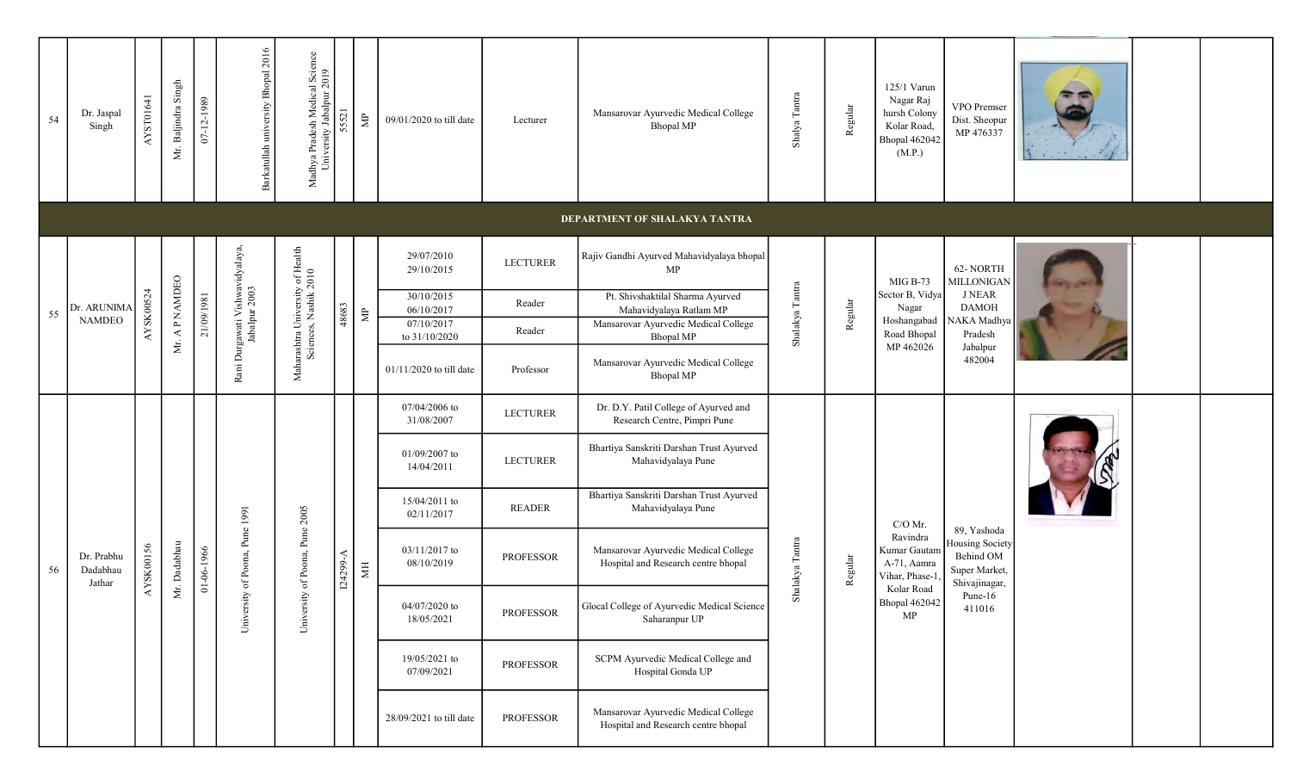| 54 | Dr. Jaspal<br>Singh                  | AYST01641 | Mr. Baljindra Singh | 07-12-1989 | Barkatullah university Bhopal 2016               | Madhya Pradesh Medical Science<br>University Jabalpur 2019 | 52           | $\mathbb{R}^n$        | 09/01/2020 to till date     | Lecturer        | Mansarovar Ayurvedic Medical College<br><b>Bhopal MP</b>                    | Shalya Tantra              | Regular | 125/1 Varun<br>Nagar Raj<br>hursh Colony<br>Kolar Road,<br>Bhopal 462042<br>(M.P.) | VPO Premser<br>Dist. Sheopur<br>MP 476337                          |  |  |  |
|----|--------------------------------------|-----------|---------------------|------------|--------------------------------------------------|------------------------------------------------------------|--------------|-----------------------|-----------------------------|-----------------|-----------------------------------------------------------------------------|----------------------------|---------|------------------------------------------------------------------------------------|--------------------------------------------------------------------|--|--|--|
|    | <b>DEPARTMENT OF SHALAKYA TANTRA</b> |           |                     |            |                                                  |                                                            |              |                       |                             |                 |                                                                             |                            |         |                                                                                    |                                                                    |  |  |  |
|    |                                      |           | Mr. A P NAMDEO      |            | Rani Durgawati Vishwavidyalaya,<br>Jabalpur 2003 | Maharashtra University of Health<br>Sciences, Nashik 2010  |              |                       | 29/07/2010<br>29/10/2015    | <b>LECTURER</b> | Rajiv Gandhi Ayurved Mahavidyalaya bhopal<br>MP                             |                            |         | MIG B-73                                                                           | 62-NORTH<br>MILLONIGAN                                             |  |  |  |
| 55 | Dr. ARUNIMA<br><b>NAMDEO</b>         | AYSK00524 |                     | 21/09/1981 |                                                  |                                                            | 48683        | $\mathrel{\uncorner}$ | 30/10/2015<br>06/10/2017    | Reader          | Pt. Shivshaktilal Sharma Ayurved<br>Mahavidyalaya Ratlam MP                 | Shalakya Tantra<br>Regular |         | Sector B, Vidya<br>Nagar<br>Hoshangabad<br>Road Bhopal<br>MP 462026                | <b>JNEAR</b><br><b>DAMOH</b><br>NAKA Madhya<br>Pradesh<br>Jabalpur |  |  |  |
|    |                                      |           |                     |            |                                                  |                                                            |              |                       | 07/10/2017<br>to 31/10/2020 | Reader          | Mansarovar Ayurvedic Medical College<br><b>Bhopal MP</b>                    |                            |         |                                                                                    |                                                                    |  |  |  |
|    |                                      |           |                     |            |                                                  |                                                            |              |                       | 01/11/2020 to till date     | Professor       | Mansarovar Ayurvedic Medical College<br><b>Bhopal MP</b>                    |                            |         |                                                                                    | 482004                                                             |  |  |  |
|    |                                      |           |                     |            |                                                  |                                                            |              |                       | 07/04/2006 to<br>31/08/2007 | <b>LECTURER</b> | Dr. D.Y. Patil College of Ayurved and<br>Research Centre, Pimpri Pune       |                            |         |                                                                                    |                                                                    |  |  |  |
|    |                                      |           |                     |            |                                                  |                                                            |              |                       | 01/09/2007 to<br>14/04/2011 | <b>LECTURER</b> | Bhartiya Sanskriti Darshan Trust Ayurved<br>Mahavidyalaya Pune              |                            |         | $C/O$ Mr.                                                                          |                                                                    |  |  |  |
|    |                                      |           |                     |            |                                                  | 2005                                                       |              |                       | 15/04/2011 to<br>02/11/2017 | <b>READER</b>   | Bhartiya Sanskriti Darshan Trust Ayurved<br>Mahavidyalaya Pune              |                            |         |                                                                                    | 89, Yashoda                                                        |  |  |  |
| 56 | Dr. Prabhu<br>Dadabhau<br>Jathar     | AYSK00156 | Mr. Dadabhau        | 01-06-1966 | University of Poona, Pune 1991                   | rsity of Poona, Pune                                       | ∢<br>124299- | Ħ                     | 03/11/2017 to<br>08/10/2019 | PROFESSOR       | Mansarovar Ayurvedic Medical College<br>Hospital and Research centre bhopal | Shalakya Tantra            | Regular | Ravindra<br>Kumar Gautan<br>A-71, Aamra<br>Vihar, Phase-1                          | Housing Society<br>Behind OM<br>Super Market,<br>Shivajinagar,     |  |  |  |
|    |                                      |           |                     |            |                                                  | Unive                                                      |              |                       | 04/07/2020 to<br>18/05/2021 | PROFESSOR       | Glocal College of Ayurvedic Medical Science<br>Saharanpur UP                |                            |         | Kolar Road<br><b>Bhopal 462042</b><br>MP                                           | Pune-16<br>411016                                                  |  |  |  |
|    |                                      |           |                     |            |                                                  |                                                            |              |                       | 19/05/2021 to<br>07/09/2021 | PROFESSOR       | SCPM Ayurvedic Medical College and<br>Hospital Gonda UP                     |                            |         |                                                                                    |                                                                    |  |  |  |
|    |                                      |           |                     |            |                                                  |                                                            |              |                       | 28/09/2021 to till date     | PROFESSOR       | Mansarovar Ayurvedic Medical College<br>Hospital and Research centre bhopal |                            |         |                                                                                    |                                                                    |  |  |  |